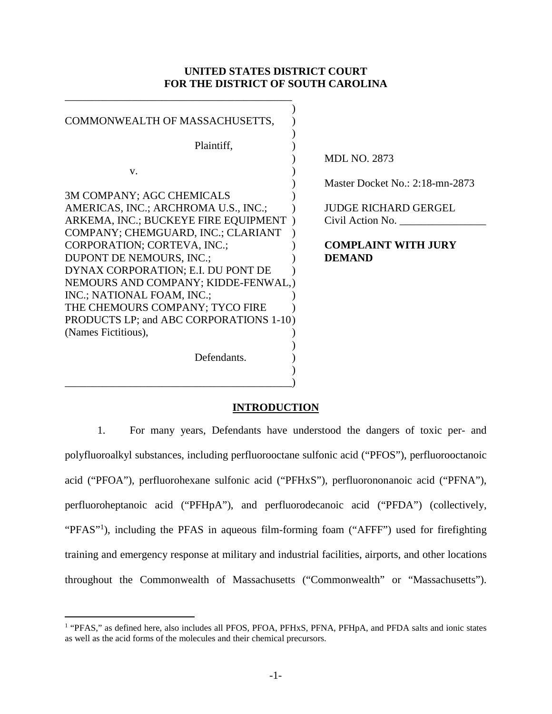## **UNITED STATES DISTRICT COURT FOR THE DISTRICT OF SOUTH CAROLINA**

| COMMONWEALTH OF MASSACHUSETTS,          |                                 |
|-----------------------------------------|---------------------------------|
| Plaintiff,                              |                                 |
|                                         | <b>MDL NO. 2873</b>             |
| V.                                      |                                 |
|                                         | Master Docket No.: 2:18-mn-2873 |
| 3M COMPANY; AGC CHEMICALS               |                                 |
| AMERICAS, INC.; ARCHROMA U.S., INC.;    | <b>JUDGE RICHARD GERGEL</b>     |
| ARKEMA, INC.; BUCKEYE FIRE EQUIPMENT)   | Civil Action No.                |
| COMPANY; CHEMGUARD, INC.; CLARIANT      |                                 |
| CORPORATION; CORTEVA, INC.;             | <b>COMPLAINT WITH JURY</b>      |
| DUPONT DE NEMOURS, INC.;                | <b>DEMAND</b>                   |
| DYNAX CORPORATION; E.I. DU PONT DE      |                                 |
| NEMOURS AND COMPANY; KIDDE-FENWAL,)     |                                 |
| INC.; NATIONAL FOAM, INC.;              |                                 |
| THE CHEMOURS COMPANY; TYCO FIRE         |                                 |
| PRODUCTS LP; and ABC CORPORATIONS 1-10) |                                 |
| (Names Fictitious),                     |                                 |
|                                         |                                 |
| Defendants.                             |                                 |
|                                         |                                 |
|                                         |                                 |

# **INTRODUCTION**

1. For many years, Defendants have understood the dangers of toxic per- and polyfluoroalkyl substances, including perfluorooctane sulfonic acid ("PFOS"), perfluorooctanoic acid ("PFOA"), perfluorohexane sulfonic acid ("PFHxS"), perfluorononanoic acid ("PFNA"), perfluoroheptanoic acid ("PFHpA"), and perfluorodecanoic acid ("PFDA") (collectively, "PFAS"<sup>1</sup>), including the PFAS in aqueous film-forming foam ("AFFF") used for firefighting training and emergency response at military and industrial facilities, airports, and other locations throughout the Commonwealth of Massachusetts ("Commonwealth" or "Massachusetts").

<sup>&</sup>lt;sup>1</sup> "PFAS," as defined here, also includes all PFOS, PFOA, PFHxS, PFNA, PFHpA, and PFDA salts and ionic states as well as the acid forms of the molecules and their chemical precursors.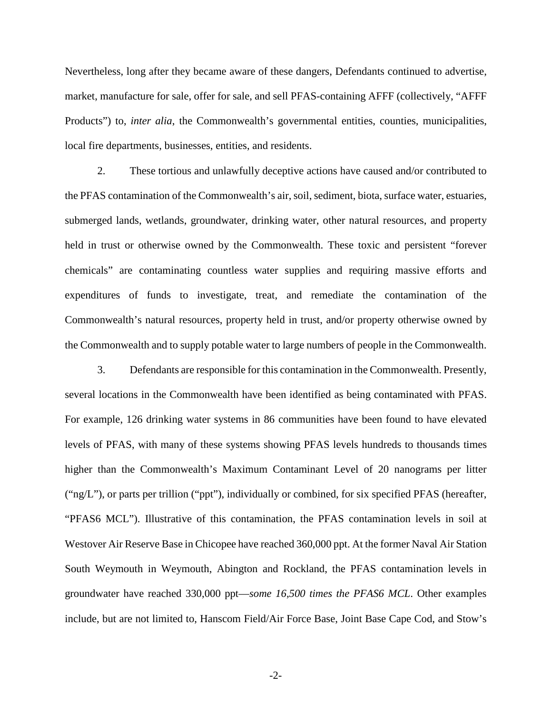Nevertheless, long after they became aware of these dangers, Defendants continued to advertise, market, manufacture for sale, offer for sale, and sell PFAS-containing AFFF (collectively, "AFFF Products") to, *inter alia*, the Commonwealth's governmental entities, counties, municipalities, local fire departments, businesses, entities, and residents.

2. These tortious and unlawfully deceptive actions have caused and/or contributed to the PFAS contamination of the Commonwealth's air, soil, sediment, biota, surface water, estuaries, submerged lands, wetlands, groundwater, drinking water, other natural resources, and property held in trust or otherwise owned by the Commonwealth. These toxic and persistent "forever chemicals" are contaminating countless water supplies and requiring massive efforts and expenditures of funds to investigate, treat, and remediate the contamination of the Commonwealth's natural resources, property held in trust, and/or property otherwise owned by the Commonwealth and to supply potable water to large numbers of people in the Commonwealth.

3. Defendants are responsible for this contamination in the Commonwealth. Presently, several locations in the Commonwealth have been identified as being contaminated with PFAS. For example, 126 drinking water systems in 86 communities have been found to have elevated levels of PFAS, with many of these systems showing PFAS levels hundreds to thousands times higher than the Commonwealth's Maximum Contaminant Level of 20 nanograms per litter ("ng/L"), or parts per trillion ("ppt"), individually or combined, for six specified PFAS (hereafter, "PFAS6 MCL"). Illustrative of this contamination, the PFAS contamination levels in soil at Westover Air Reserve Base in Chicopee have reached 360,000 ppt. At the former Naval Air Station South Weymouth in Weymouth, Abington and Rockland, the PFAS contamination levels in groundwater have reached 330,000 ppt—*some 16,500 times the PFAS6 MCL*. Other examples include, but are not limited to, Hanscom Field/Air Force Base, Joint Base Cape Cod, and Stow's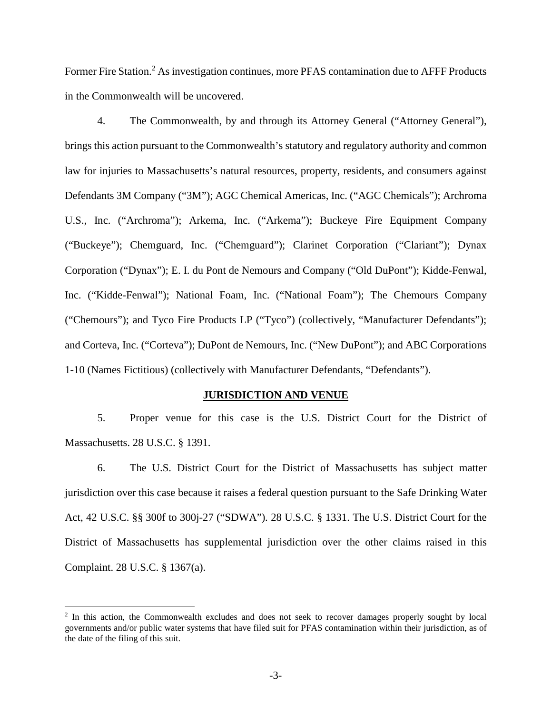Former Fire Station.<sup>2</sup> As investigation continues, more PFAS contamination due to AFFF Products in the Commonwealth will be uncovered.

4. The Commonwealth, by and through its Attorney General ("Attorney General"), brings this action pursuant to the Commonwealth's statutory and regulatory authority and common law for injuries to Massachusetts's natural resources, property, residents, and consumers against Defendants 3M Company ("3M"); AGC Chemical Americas, Inc. ("AGC Chemicals"); Archroma U.S., Inc. ("Archroma"); Arkema, Inc. ("Arkema"); Buckeye Fire Equipment Company ("Buckeye"); Chemguard, Inc. ("Chemguard"); Clarinet Corporation ("Clariant"); Dynax Corporation ("Dynax"); E. I. du Pont de Nemours and Company ("Old DuPont"); Kidde-Fenwal, Inc. ("Kidde-Fenwal"); National Foam, Inc. ("National Foam"); The Chemours Company ("Chemours"); and Tyco Fire Products LP ("Tyco") (collectively, "Manufacturer Defendants"); and Corteva, Inc. ("Corteva"); DuPont de Nemours, Inc. ("New DuPont"); and ABC Corporations 1-10 (Names Fictitious) (collectively with Manufacturer Defendants, "Defendants").

### **JURISDICTION AND VENUE**

5. Proper venue for this case is the U.S. District Court for the District of Massachusetts. 28 U.S.C. § 1391.

6. The U.S. District Court for the District of Massachusetts has subject matter jurisdiction over this case because it raises a federal question pursuant to the Safe Drinking Water Act, 42 U.S.C. §§ 300f to 300j-27 ("SDWA"). 28 U.S.C. § 1331. The U.S. District Court for the District of Massachusetts has supplemental jurisdiction over the other claims raised in this Complaint. 28 U.S.C. § 1367(a).

<sup>&</sup>lt;sup>2</sup> In this action, the Commonwealth excludes and does not seek to recover damages properly sought by local governments and/or public water systems that have filed suit for PFAS contamination within their jurisdiction, as of the date of the filing of this suit.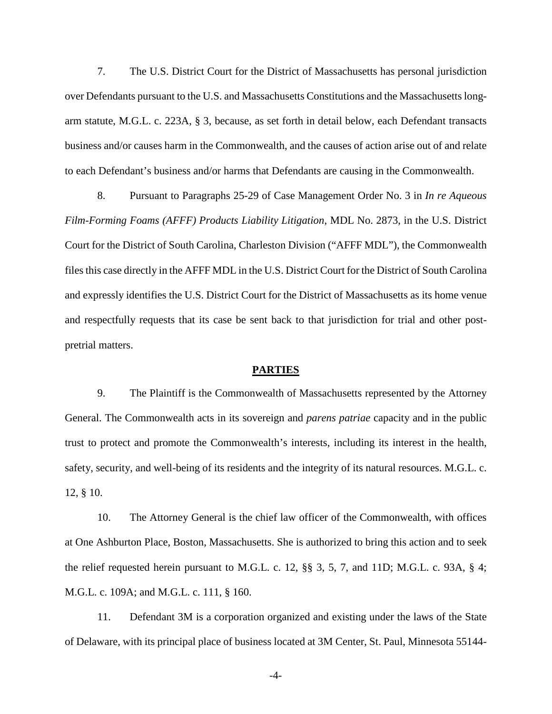7. The U.S. District Court for the District of Massachusetts has personal jurisdiction over Defendants pursuant to the U.S. and Massachusetts Constitutions and the Massachusetts longarm statute, M.G.L. c. 223A, § 3, because, as set forth in detail below, each Defendant transacts business and/or causes harm in the Commonwealth, and the causes of action arise out of and relate to each Defendant's business and/or harms that Defendants are causing in the Commonwealth.

8. Pursuant to Paragraphs 25-29 of Case Management Order No. 3 in *In re Aqueous Film-Forming Foams (AFFF) Products Liability Litigation*, MDL No. 2873, in the U.S. District Court for the District of South Carolina, Charleston Division ("AFFF MDL"), the Commonwealth files this case directly in the AFFF MDL in the U.S. District Court for the District of South Carolina and expressly identifies the U.S. District Court for the District of Massachusetts as its home venue and respectfully requests that its case be sent back to that jurisdiction for trial and other postpretrial matters.

### **PARTIES**

9. The Plaintiff is the Commonwealth of Massachusetts represented by the Attorney General. The Commonwealth acts in its sovereign and *parens patriae* capacity and in the public trust to protect and promote the Commonwealth's interests, including its interest in the health, safety, security, and well-being of its residents and the integrity of its natural resources. M.G.L. c. 12, § 10.

10. The Attorney General is the chief law officer of the Commonwealth, with offices at One Ashburton Place, Boston, Massachusetts. She is authorized to bring this action and to seek the relief requested herein pursuant to M.G.L. c. 12, §§ 3, 5, 7, and 11D; M.G.L. c. 93A, § 4; M.G.L. c. 109A; and M.G.L. c. 111, § 160.

11. Defendant 3M is a corporation organized and existing under the laws of the State of Delaware, with its principal place of business located at 3M Center, St. Paul, Minnesota 55144-

-4-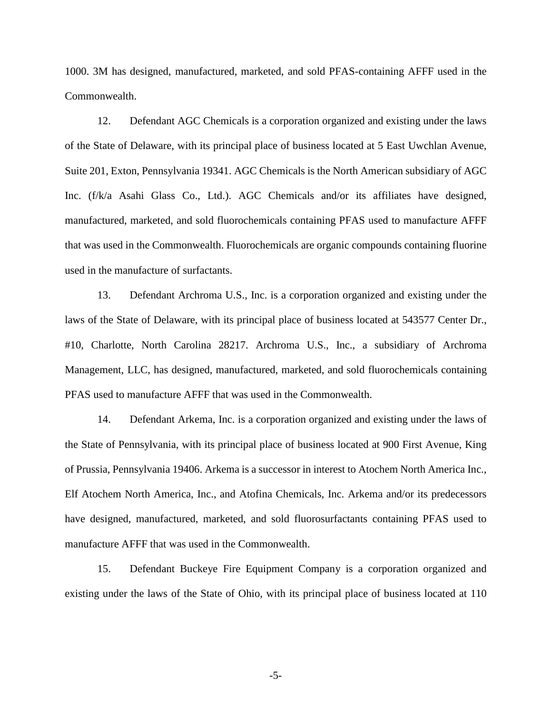1000. 3M has designed, manufactured, marketed, and sold PFAS-containing AFFF used in the Commonwealth.

12. Defendant AGC Chemicals is a corporation organized and existing under the laws of the State of Delaware, with its principal place of business located at 5 East Uwchlan Avenue, Suite 201, Exton, Pennsylvania 19341. AGC Chemicals is the North American subsidiary of AGC Inc. (f/k/a Asahi Glass Co., Ltd.). AGC Chemicals and/or its affiliates have designed, manufactured, marketed, and sold fluorochemicals containing PFAS used to manufacture AFFF that was used in the Commonwealth. Fluorochemicals are organic compounds containing fluorine used in the manufacture of surfactants.

13. Defendant Archroma U.S., Inc. is a corporation organized and existing under the laws of the State of Delaware, with its principal place of business located at 543577 Center Dr., #10, Charlotte, North Carolina 28217. Archroma U.S., Inc., a subsidiary of Archroma Management, LLC, has designed, manufactured, marketed, and sold fluorochemicals containing PFAS used to manufacture AFFF that was used in the Commonwealth.

14. Defendant Arkema, Inc. is a corporation organized and existing under the laws of the State of Pennsylvania, with its principal place of business located at 900 First Avenue, King of Prussia, Pennsylvania 19406. Arkema is a successor in interest to Atochem North America Inc., Elf Atochem North America, Inc., and Atofina Chemicals, Inc. Arkema and/or its predecessors have designed, manufactured, marketed, and sold fluorosurfactants containing PFAS used to manufacture AFFF that was used in the Commonwealth.

15. Defendant Buckeye Fire Equipment Company is a corporation organized and existing under the laws of the State of Ohio, with its principal place of business located at 110

-5-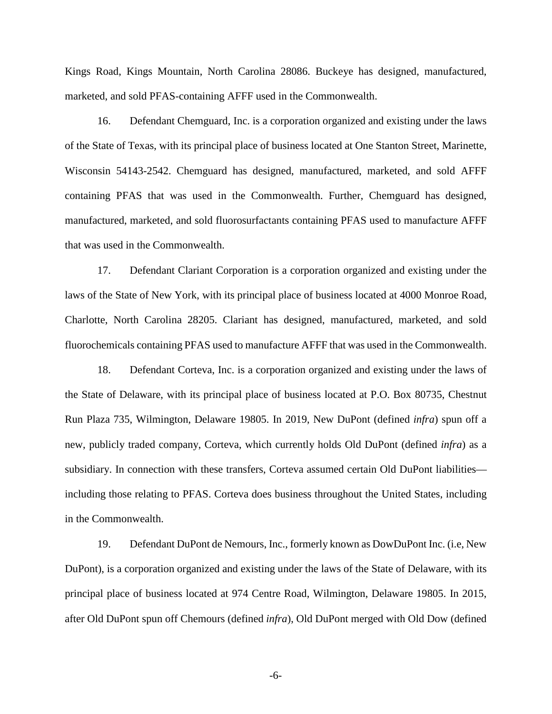Kings Road, Kings Mountain, North Carolina 28086. Buckeye has designed, manufactured, marketed, and sold PFAS-containing AFFF used in the Commonwealth.

16. Defendant Chemguard, Inc. is a corporation organized and existing under the laws of the State of Texas, with its principal place of business located at One Stanton Street, Marinette, Wisconsin 54143-2542. Chemguard has designed, manufactured, marketed, and sold AFFF containing PFAS that was used in the Commonwealth. Further, Chemguard has designed, manufactured, marketed, and sold fluorosurfactants containing PFAS used to manufacture AFFF that was used in the Commonwealth.

17. Defendant Clariant Corporation is a corporation organized and existing under the laws of the State of New York, with its principal place of business located at 4000 Monroe Road, Charlotte, North Carolina 28205. Clariant has designed, manufactured, marketed, and sold fluorochemicals containing PFAS used to manufacture AFFF that was used in the Commonwealth.

18. Defendant Corteva, Inc. is a corporation organized and existing under the laws of the State of Delaware, with its principal place of business located at P.O. Box 80735, Chestnut Run Plaza 735, Wilmington, Delaware 19805. In 2019, New DuPont (defined *infra*) spun off a new, publicly traded company, Corteva, which currently holds Old DuPont (defined *infra*) as a subsidiary. In connection with these transfers, Corteva assumed certain Old DuPont liabilities including those relating to PFAS. Corteva does business throughout the United States, including in the Commonwealth.

19. Defendant DuPont de Nemours, Inc., formerly known as DowDuPont Inc. (i.e, New DuPont), is a corporation organized and existing under the laws of the State of Delaware, with its principal place of business located at 974 Centre Road, Wilmington, Delaware 19805. In 2015, after Old DuPont spun off Chemours (defined *infra*), Old DuPont merged with Old Dow (defined

-6-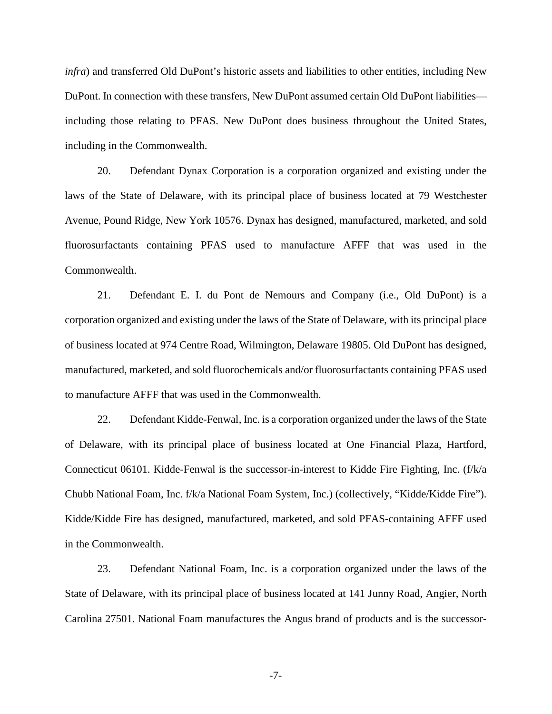*infra*) and transferred Old DuPont's historic assets and liabilities to other entities, including New DuPont. In connection with these transfers, New DuPont assumed certain Old DuPont liabilities including those relating to PFAS. New DuPont does business throughout the United States, including in the Commonwealth.

20. Defendant Dynax Corporation is a corporation organized and existing under the laws of the State of Delaware, with its principal place of business located at 79 Westchester Avenue, Pound Ridge, New York 10576. Dynax has designed, manufactured, marketed, and sold fluorosurfactants containing PFAS used to manufacture AFFF that was used in the Commonwealth.

21. Defendant E. I. du Pont de Nemours and Company (i.e., Old DuPont) is a corporation organized and existing under the laws of the State of Delaware, with its principal place of business located at 974 Centre Road, Wilmington, Delaware 19805. Old DuPont has designed, manufactured, marketed, and sold fluorochemicals and/or fluorosurfactants containing PFAS used to manufacture AFFF that was used in the Commonwealth.

22. Defendant Kidde-Fenwal, Inc. is a corporation organized under the laws of the State of Delaware, with its principal place of business located at One Financial Plaza, Hartford, Connecticut 06101. Kidde-Fenwal is the successor-in-interest to Kidde Fire Fighting, Inc. (f/k/a Chubb National Foam, Inc. f/k/a National Foam System, Inc.) (collectively, "Kidde/Kidde Fire"). Kidde/Kidde Fire has designed, manufactured, marketed, and sold PFAS-containing AFFF used in the Commonwealth.

23. Defendant National Foam, Inc. is a corporation organized under the laws of the State of Delaware, with its principal place of business located at 141 Junny Road, Angier, North Carolina 27501. National Foam manufactures the Angus brand of products and is the successor-

-7-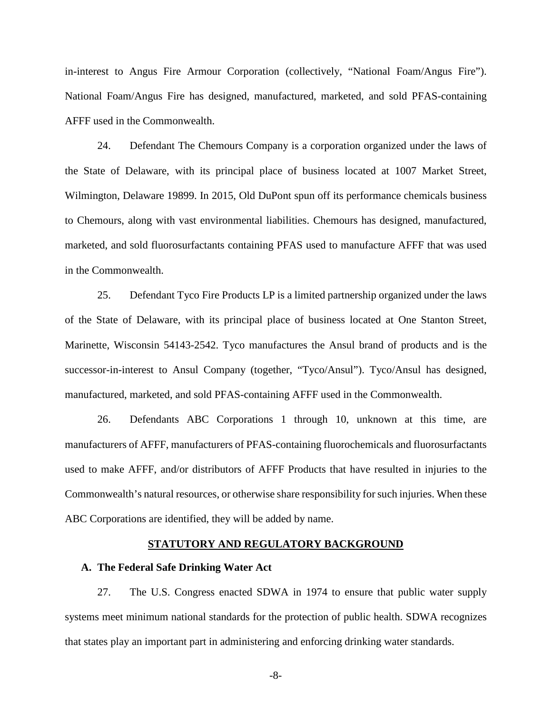in-interest to Angus Fire Armour Corporation (collectively, "National Foam/Angus Fire"). National Foam/Angus Fire has designed, manufactured, marketed, and sold PFAS-containing AFFF used in the Commonwealth.

24. Defendant The Chemours Company is a corporation organized under the laws of the State of Delaware, with its principal place of business located at 1007 Market Street, Wilmington, Delaware 19899. In 2015, Old DuPont spun off its performance chemicals business to Chemours, along with vast environmental liabilities. Chemours has designed, manufactured, marketed, and sold fluorosurfactants containing PFAS used to manufacture AFFF that was used in the Commonwealth.

25. Defendant Tyco Fire Products LP is a limited partnership organized under the laws of the State of Delaware, with its principal place of business located at One Stanton Street, Marinette, Wisconsin 54143-2542. Tyco manufactures the Ansul brand of products and is the successor-in-interest to Ansul Company (together, "Tyco/Ansul"). Tyco/Ansul has designed, manufactured, marketed, and sold PFAS-containing AFFF used in the Commonwealth.

26. Defendants ABC Corporations 1 through 10, unknown at this time, are manufacturers of AFFF, manufacturers of PFAS-containing fluorochemicals and fluorosurfactants used to make AFFF, and/or distributors of AFFF Products that have resulted in injuries to the Commonwealth's natural resources, or otherwise share responsibility for such injuries. When these ABC Corporations are identified, they will be added by name.

### **STATUTORY AND REGULATORY BACKGROUND**

### **A. The Federal Safe Drinking Water Act**

27. The U.S. Congress enacted SDWA in 1974 to ensure that public water supply systems meet minimum national standards for the protection of public health. SDWA recognizes that states play an important part in administering and enforcing drinking water standards.

-8-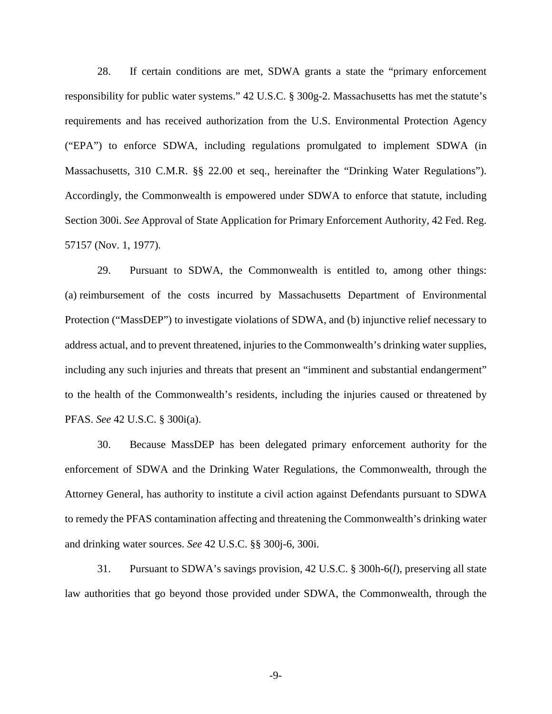28. If certain conditions are met, SDWA grants a state the "primary enforcement responsibility for public water systems." 42 U.S.C. § 300g-2. Massachusetts has met the statute's requirements and has received authorization from the U.S. Environmental Protection Agency ("EPA") to enforce SDWA, including regulations promulgated to implement SDWA (in Massachusetts, 310 C.M.R. §§ 22.00 et seq., hereinafter the "Drinking Water Regulations"). Accordingly, the Commonwealth is empowered under SDWA to enforce that statute, including Section 300i. *See* Approval of State Application for Primary Enforcement Authority, 42 Fed. Reg. 57157 (Nov. 1, 1977).

29. Pursuant to SDWA, the Commonwealth is entitled to, among other things: (a) reimbursement of the costs incurred by Massachusetts Department of Environmental Protection ("MassDEP") to investigate violations of SDWA, and (b) injunctive relief necessary to address actual, and to prevent threatened, injuries to the Commonwealth's drinking water supplies, including any such injuries and threats that present an "imminent and substantial endangerment" to the health of the Commonwealth's residents, including the injuries caused or threatened by PFAS. *See* 42 U.S.C. § 300i(a).

30. Because MassDEP has been delegated primary enforcement authority for the enforcement of SDWA and the Drinking Water Regulations, the Commonwealth, through the Attorney General, has authority to institute a civil action against Defendants pursuant to SDWA to remedy the PFAS contamination affecting and threatening the Commonwealth's drinking water and drinking water sources. *See* 42 U.S.C. §§ 300j-6, 300i.

31. Pursuant to SDWA's savings provision, 42 U.S.C. § 300h-6(*l*), preserving all state law authorities that go beyond those provided under SDWA, the Commonwealth, through the

-9-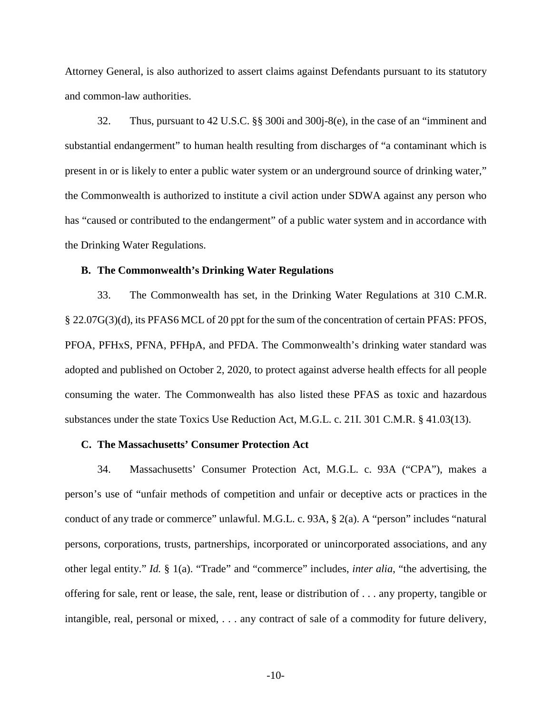Attorney General, is also authorized to assert claims against Defendants pursuant to its statutory and common-law authorities.

32. Thus, pursuant to 42 U.S.C. §§ 300i and 300j-8(e), in the case of an "imminent and substantial endangerment" to human health resulting from discharges of "a contaminant which is present in or is likely to enter a public water system or an underground source of drinking water," the Commonwealth is authorized to institute a civil action under SDWA against any person who has "caused or contributed to the endangerment" of a public water system and in accordance with the Drinking Water Regulations.

#### **B. The Commonwealth's Drinking Water Regulations**

33. The Commonwealth has set, in the Drinking Water Regulations at 310 C.M.R. § 22.07G(3)(d), its PFAS6 MCL of 20 ppt for the sum of the concentration of certain PFAS: PFOS, PFOA, PFHxS, PFNA, PFHpA, and PFDA. The Commonwealth's drinking water standard was adopted and published on October 2, 2020, to protect against adverse health effects for all people consuming the water. The Commonwealth has also listed these PFAS as toxic and hazardous substances under the state Toxics Use Reduction Act, M.G.L. c. 21I. 301 C.M.R. § 41.03(13).

### **C. The Massachusetts' Consumer Protection Act**

34. Massachusetts' Consumer Protection Act, M.G.L. c. 93A ("CPA"), makes a person's use of "unfair methods of competition and unfair or deceptive acts or practices in the conduct of any trade or commerce" unlawful. M.G.L. c. 93A, § 2(a). A "person" includes "natural persons, corporations, trusts, partnerships, incorporated or unincorporated associations, and any other legal entity." *Id.* § 1(a). "Trade" and "commerce" includes, *inter alia*, "the advertising, the offering for sale, rent or lease, the sale, rent, lease or distribution of . . . any property, tangible or intangible, real, personal or mixed, . . . any contract of sale of a commodity for future delivery,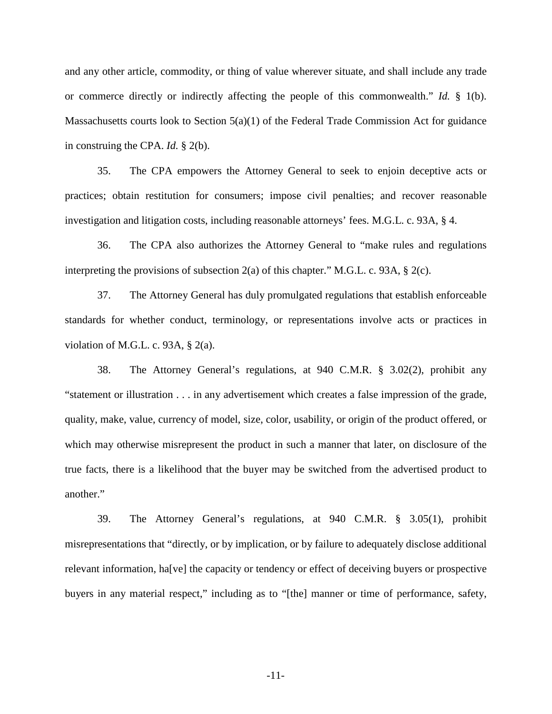and any other article, commodity, or thing of value wherever situate, and shall include any trade or commerce directly or indirectly affecting the people of this commonwealth." *Id.* § 1(b). Massachusetts courts look to Section  $5(a)(1)$  of the Federal Trade Commission Act for guidance in construing the CPA. *Id.* § 2(b).

35. The CPA empowers the Attorney General to seek to enjoin deceptive acts or practices; obtain restitution for consumers; impose civil penalties; and recover reasonable investigation and litigation costs, including reasonable attorneys' fees. M.G.L. c. 93A, § 4.

36. The CPA also authorizes the Attorney General to "make rules and regulations interpreting the provisions of subsection 2(a) of this chapter." M.G.L. c. 93A, § 2(c).

37. The Attorney General has duly promulgated regulations that establish enforceable standards for whether conduct, terminology, or representations involve acts or practices in violation of M.G.L. c. 93A,  $\S$  2(a).

38. The Attorney General's regulations, at 940 C.M.R. § 3.02(2), prohibit any "statement or illustration . . . in any advertisement which creates a false impression of the grade, quality, make, value, currency of model, size, color, usability, or origin of the product offered, or which may otherwise misrepresent the product in such a manner that later, on disclosure of the true facts, there is a likelihood that the buyer may be switched from the advertised product to another."

39. The Attorney General's regulations, at 940 C.M.R. § 3.05(1), prohibit misrepresentations that "directly, or by implication, or by failure to adequately disclose additional relevant information, ha[ve] the capacity or tendency or effect of deceiving buyers or prospective buyers in any material respect," including as to "[the] manner or time of performance, safety,

-11-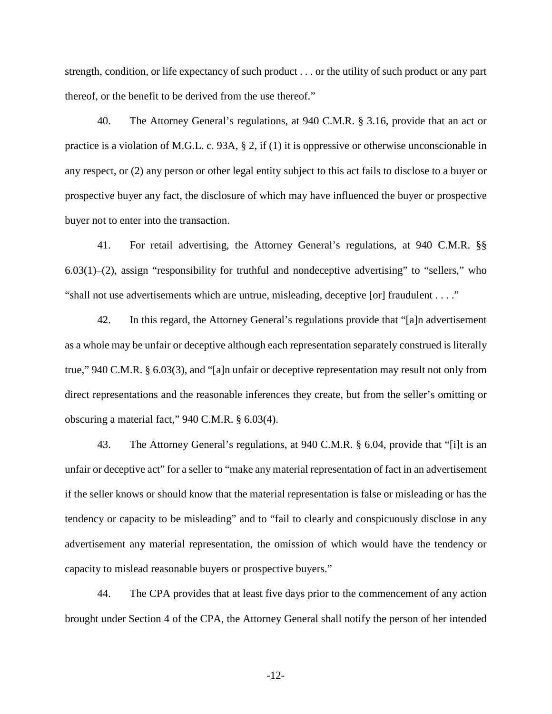strength, condition, or life expectancy of such product . . . or the utility of such product or any part thereof, or the benefit to be derived from the use thereof."

40. The Attorney General's regulations, at 940 C.M.R. § 3.16, provide that an act or practice is a violation of M.G.L. c. 93A, § 2, if (1) it is oppressive or otherwise unconscionable in any respect, or (2) any person or other legal entity subject to this act fails to disclose to a buyer or prospective buyer any fact, the disclosure of which may have influenced the buyer or prospective buyer not to enter into the transaction.

41. For retail advertising, the Attorney General's regulations, at 940 C.M.R. §§  $6.03(1)$ –(2), assign "responsibility for truthful and nondeceptive advertising" to "sellers," who "shall not use advertisements which are untrue, misleading, deceptive [or] fraudulent . . . ."

42. In this regard, the Attorney General's regulations provide that "[a]n advertisement as a whole may be unfair or deceptive although each representation separately construed is literally true," 940 C.M.R. § 6.03(3), and "[a]n unfair or deceptive representation may result not only from direct representations and the reasonable inferences they create, but from the seller's omitting or obscuring a material fact," 940 C.M.R. § 6.03(4).

43. The Attorney General's regulations, at 940 C.M.R. § 6.04, provide that "[i]t is an unfair or deceptive act" for a seller to "make any material representation of fact in an advertisement if the seller knows or should know that the material representation is false or misleading or has the tendency or capacity to be misleading" and to "fail to clearly and conspicuously disclose in any advertisement any material representation, the omission of which would have the tendency or capacity to mislead reasonable buyers or prospective buyers."

44. The CPA provides that at least five days prior to the commencement of any action brought under Section 4 of the CPA, the Attorney General shall notify the person of her intended

-12-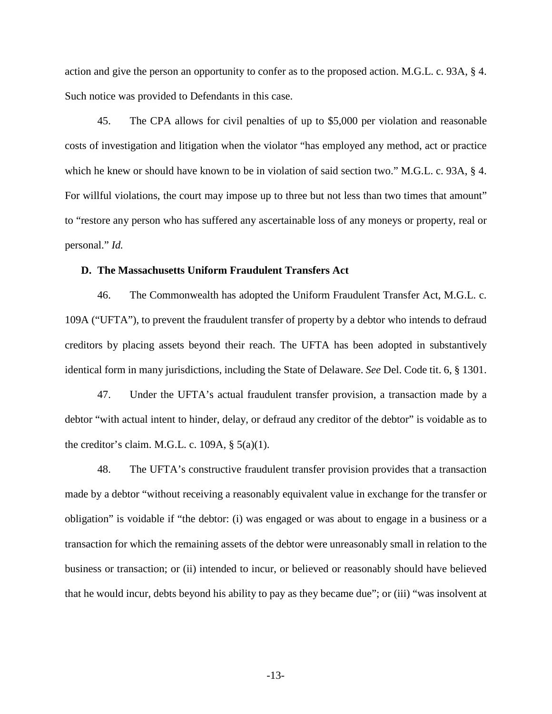action and give the person an opportunity to confer as to the proposed action. M.G.L. c. 93A, § 4. Such notice was provided to Defendants in this case.

45. The CPA allows for civil penalties of up to \$5,000 per violation and reasonable costs of investigation and litigation when the violator "has employed any method, act or practice which he knew or should have known to be in violation of said section two." M.G.L. c. 93A, § 4. For willful violations, the court may impose up to three but not less than two times that amount" to "restore any person who has suffered any ascertainable loss of any moneys or property, real or personal." *Id.* 

### **D. The Massachusetts Uniform Fraudulent Transfers Act**

46. The Commonwealth has adopted the Uniform Fraudulent Transfer Act, M.G.L. c. 109A ("UFTA"), to prevent the fraudulent transfer of property by a debtor who intends to defraud creditors by placing assets beyond their reach. The UFTA has been adopted in substantively identical form in many jurisdictions, including the State of Delaware. *See* Del. Code tit. 6, § 1301.

47. Under the UFTA's actual fraudulent transfer provision, a transaction made by a debtor "with actual intent to hinder, delay, or defraud any creditor of the debtor" is voidable as to the creditor's claim. M.G.L. c. 109A,  $\S$  5(a)(1).

48. The UFTA's constructive fraudulent transfer provision provides that a transaction made by a debtor "without receiving a reasonably equivalent value in exchange for the transfer or obligation" is voidable if "the debtor: (i) was engaged or was about to engage in a business or a transaction for which the remaining assets of the debtor were unreasonably small in relation to the business or transaction; or (ii) intended to incur, or believed or reasonably should have believed that he would incur, debts beyond his ability to pay as they became due"; or (iii) "was insolvent at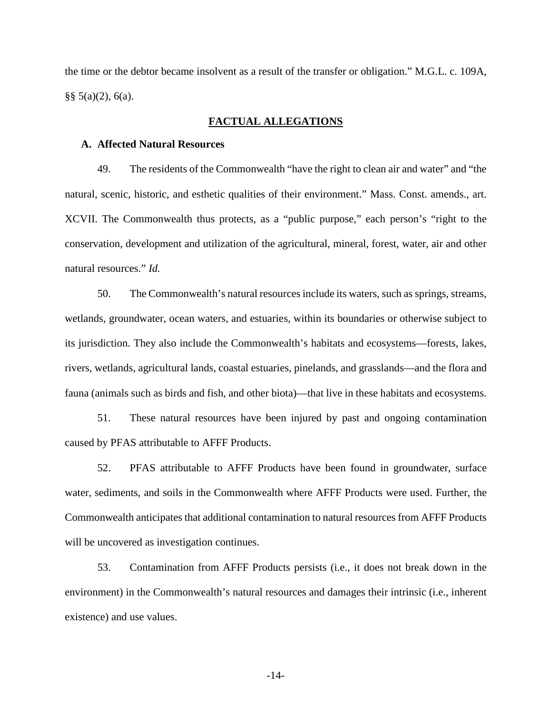the time or the debtor became insolvent as a result of the transfer or obligation." M.G.L. c. 109A,  $\S$ § 5(a)(2), 6(a).

## **FACTUAL ALLEGATIONS**

## **A. Affected Natural Resources**

49. The residents of the Commonwealth "have the right to clean air and water" and "the natural, scenic, historic, and esthetic qualities of their environment." Mass. Const. amends., art. XCVII. The Commonwealth thus protects, as a "public purpose," each person's "right to the conservation, development and utilization of the agricultural, mineral, forest, water, air and other natural resources." *Id.*

50. The Commonwealth's natural resources include its waters, such as springs, streams, wetlands, groundwater, ocean waters, and estuaries, within its boundaries or otherwise subject to its jurisdiction. They also include the Commonwealth's habitats and ecosystems—forests, lakes, rivers, wetlands, agricultural lands, coastal estuaries, pinelands, and grasslands—and the flora and fauna (animals such as birds and fish, and other biota)—that live in these habitats and ecosystems.

51. These natural resources have been injured by past and ongoing contamination caused by PFAS attributable to AFFF Products.

52. PFAS attributable to AFFF Products have been found in groundwater, surface water, sediments, and soils in the Commonwealth where AFFF Products were used. Further, the Commonwealth anticipates that additional contamination to natural resources from AFFF Products will be uncovered as investigation continues.

53. Contamination from AFFF Products persists (i.e., it does not break down in the environment) in the Commonwealth's natural resources and damages their intrinsic (i.e., inherent existence) and use values.

-14-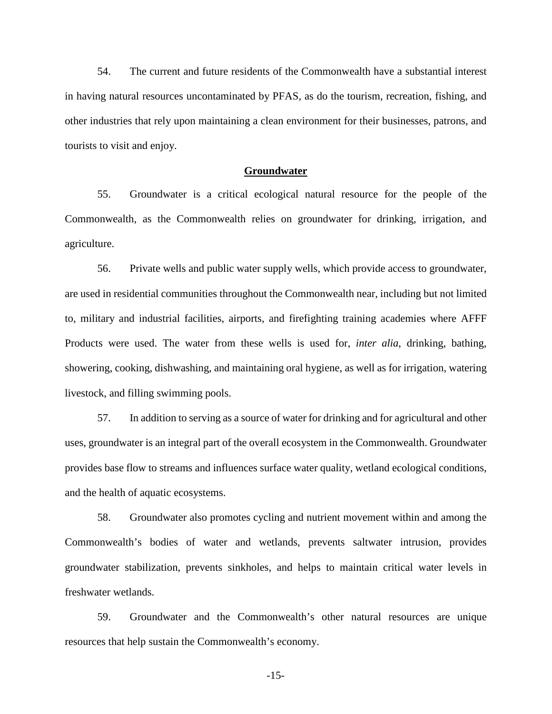54. The current and future residents of the Commonwealth have a substantial interest in having natural resources uncontaminated by PFAS, as do the tourism, recreation, fishing, and other industries that rely upon maintaining a clean environment for their businesses, patrons, and tourists to visit and enjoy.

### **Groundwater**

55. Groundwater is a critical ecological natural resource for the people of the Commonwealth, as the Commonwealth relies on groundwater for drinking, irrigation, and agriculture.

56. Private wells and public water supply wells, which provide access to groundwater, are used in residential communities throughout the Commonwealth near, including but not limited to, military and industrial facilities, airports, and firefighting training academies where AFFF Products were used. The water from these wells is used for, *inter alia*, drinking, bathing, showering, cooking, dishwashing, and maintaining oral hygiene, as well as for irrigation, watering livestock, and filling swimming pools.

57. In addition to serving as a source of water for drinking and for agricultural and other uses, groundwater is an integral part of the overall ecosystem in the Commonwealth. Groundwater provides base flow to streams and influences surface water quality, wetland ecological conditions, and the health of aquatic ecosystems.

58. Groundwater also promotes cycling and nutrient movement within and among the Commonwealth's bodies of water and wetlands, prevents saltwater intrusion, provides groundwater stabilization, prevents sinkholes, and helps to maintain critical water levels in freshwater wetlands.

59. Groundwater and the Commonwealth's other natural resources are unique resources that help sustain the Commonwealth's economy.

-15-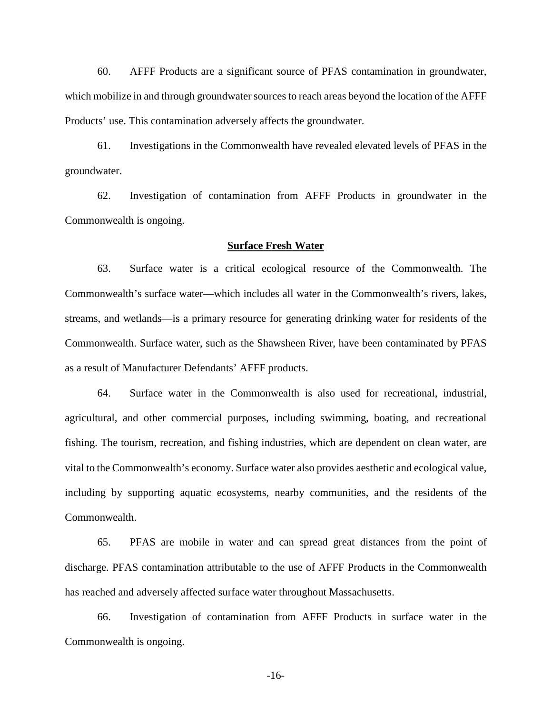60. AFFF Products are a significant source of PFAS contamination in groundwater, which mobilize in and through groundwater sources to reach areas beyond the location of the AFFF Products' use. This contamination adversely affects the groundwater.

61. Investigations in the Commonwealth have revealed elevated levels of PFAS in the groundwater.

62. Investigation of contamination from AFFF Products in groundwater in the Commonwealth is ongoing.

## **Surface Fresh Water**

63. Surface water is a critical ecological resource of the Commonwealth. The Commonwealth's surface water—which includes all water in the Commonwealth's rivers, lakes, streams, and wetlands—is a primary resource for generating drinking water for residents of the Commonwealth. Surface water, such as the Shawsheen River, have been contaminated by PFAS as a result of Manufacturer Defendants' AFFF products.

64. Surface water in the Commonwealth is also used for recreational, industrial, agricultural, and other commercial purposes, including swimming, boating, and recreational fishing. The tourism, recreation, and fishing industries, which are dependent on clean water, are vital to the Commonwealth's economy. Surface water also provides aesthetic and ecological value, including by supporting aquatic ecosystems, nearby communities, and the residents of the Commonwealth.

65. PFAS are mobile in water and can spread great distances from the point of discharge. PFAS contamination attributable to the use of AFFF Products in the Commonwealth has reached and adversely affected surface water throughout Massachusetts.

66. Investigation of contamination from AFFF Products in surface water in the Commonwealth is ongoing.

-16-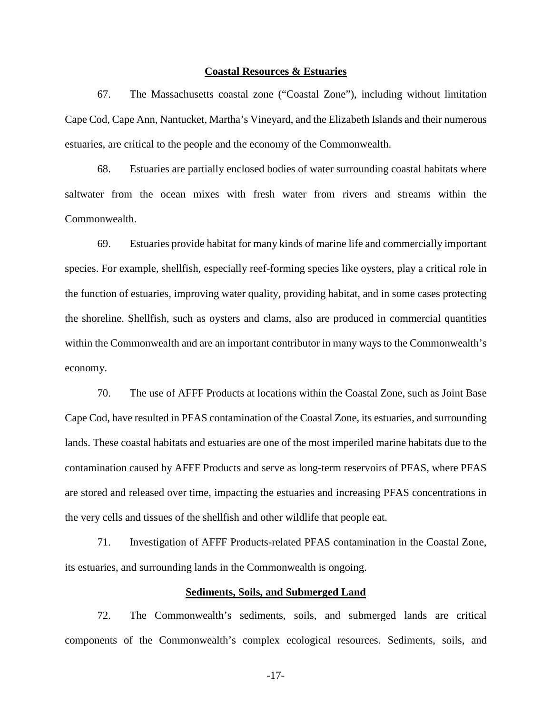#### **Coastal Resources & Estuaries**

67. The Massachusetts coastal zone ("Coastal Zone"), including without limitation Cape Cod, Cape Ann, Nantucket, Martha's Vineyard, and the Elizabeth Islands and their numerous estuaries, are critical to the people and the economy of the Commonwealth.

68. Estuaries are partially enclosed bodies of water surrounding coastal habitats where saltwater from the ocean mixes with fresh water from rivers and streams within the Commonwealth.

69. Estuaries provide habitat for many kinds of marine life and commercially important species. For example, shellfish, especially reef-forming species like oysters, play a critical role in the function of estuaries, improving water quality, providing habitat, and in some cases protecting the shoreline. Shellfish, such as oysters and clams, also are produced in commercial quantities within the Commonwealth and are an important contributor in many ways to the Commonwealth's economy.

70. The use of AFFF Products at locations within the Coastal Zone, such as Joint Base Cape Cod, have resulted in PFAS contamination of the Coastal Zone, its estuaries, and surrounding lands. These coastal habitats and estuaries are one of the most imperiled marine habitats due to the contamination caused by AFFF Products and serve as long-term reservoirs of PFAS, where PFAS are stored and released over time, impacting the estuaries and increasing PFAS concentrations in the very cells and tissues of the shellfish and other wildlife that people eat.

71. Investigation of AFFF Products-related PFAS contamination in the Coastal Zone, its estuaries, and surrounding lands in the Commonwealth is ongoing.

## **Sediments, Soils, and Submerged Land**

72. The Commonwealth's sediments, soils, and submerged lands are critical components of the Commonwealth's complex ecological resources. Sediments, soils, and

-17-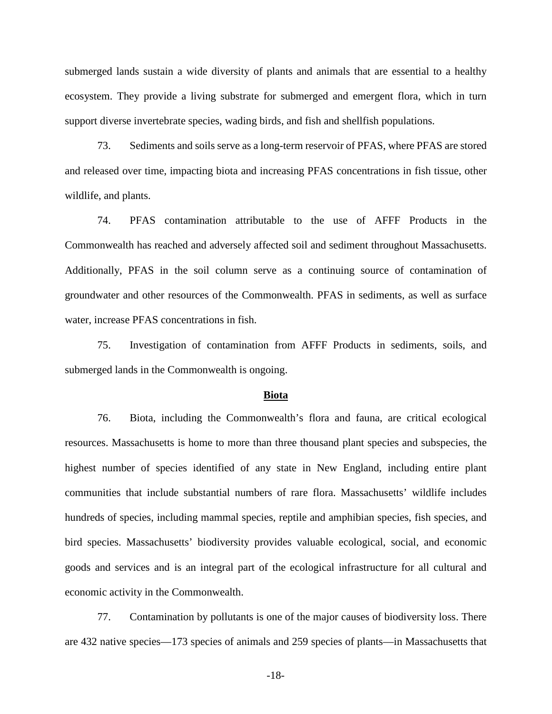submerged lands sustain a wide diversity of plants and animals that are essential to a healthy ecosystem. They provide a living substrate for submerged and emergent flora, which in turn support diverse invertebrate species, wading birds, and fish and shellfish populations.

73. Sediments and soils serve as a long-term reservoir of PFAS, where PFAS are stored and released over time, impacting biota and increasing PFAS concentrations in fish tissue, other wildlife, and plants.

74. PFAS contamination attributable to the use of AFFF Products in the Commonwealth has reached and adversely affected soil and sediment throughout Massachusetts. Additionally, PFAS in the soil column serve as a continuing source of contamination of groundwater and other resources of the Commonwealth. PFAS in sediments, as well as surface water, increase PFAS concentrations in fish.

75. Investigation of contamination from AFFF Products in sediments, soils, and submerged lands in the Commonwealth is ongoing.

## **Biota**

76. Biota, including the Commonwealth's flora and fauna, are critical ecological resources. Massachusetts is home to more than three thousand plant species and subspecies, the highest number of species identified of any state in New England, including entire plant communities that include substantial numbers of rare flora. Massachusetts' wildlife includes hundreds of species, including mammal species, reptile and amphibian species, fish species, and bird species. Massachusetts' biodiversity provides valuable ecological, social, and economic goods and services and is an integral part of the ecological infrastructure for all cultural and economic activity in the Commonwealth.

77. Contamination by pollutants is one of the major causes of biodiversity loss. There are 432 native species—173 species of animals and 259 species of plants—in Massachusetts that

-18-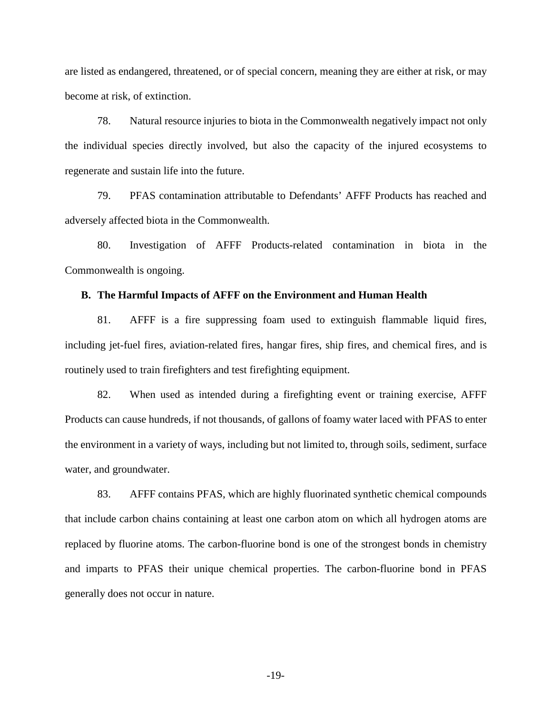are listed as endangered, threatened, or of special concern, meaning they are either at risk, or may become at risk, of extinction.

78. Natural resource injuries to biota in the Commonwealth negatively impact not only the individual species directly involved, but also the capacity of the injured ecosystems to regenerate and sustain life into the future.

79. PFAS contamination attributable to Defendants' AFFF Products has reached and adversely affected biota in the Commonwealth.

80. Investigation of AFFF Products-related contamination in biota in the Commonwealth is ongoing.

### **B. The Harmful Impacts of AFFF on the Environment and Human Health**

81. AFFF is a fire suppressing foam used to extinguish flammable liquid fires, including jet-fuel fires, aviation-related fires, hangar fires, ship fires, and chemical fires, and is routinely used to train firefighters and test firefighting equipment.

82. When used as intended during a firefighting event or training exercise, AFFF Products can cause hundreds, if not thousands, of gallons of foamy water laced with PFAS to enter the environment in a variety of ways, including but not limited to, through soils, sediment, surface water, and groundwater.

83. AFFF contains PFAS, which are highly fluorinated synthetic chemical compounds that include carbon chains containing at least one carbon atom on which all hydrogen atoms are replaced by fluorine atoms. The carbon-fluorine bond is one of the strongest bonds in chemistry and imparts to PFAS their unique chemical properties. The carbon-fluorine bond in PFAS generally does not occur in nature.

-19-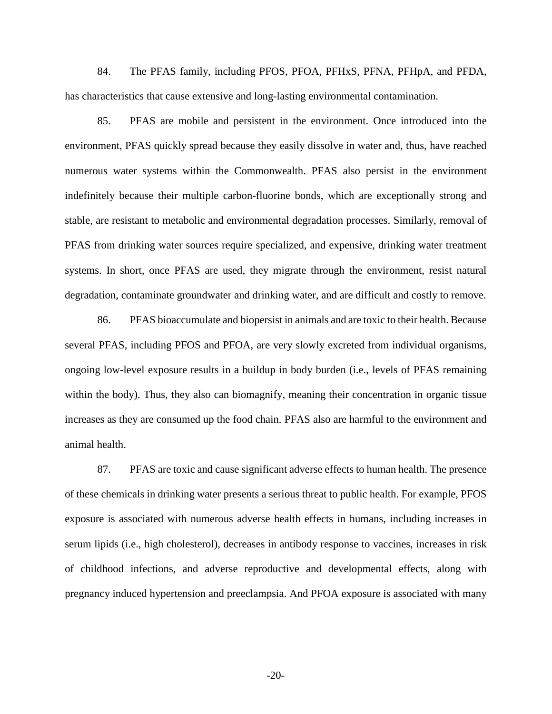84. The PFAS family, including PFOS, PFOA, PFHxS, PFNA, PFHpA, and PFDA, has characteristics that cause extensive and long-lasting environmental contamination.

85. PFAS are mobile and persistent in the environment. Once introduced into the environment, PFAS quickly spread because they easily dissolve in water and, thus, have reached numerous water systems within the Commonwealth. PFAS also persist in the environment indefinitely because their multiple carbon-fluorine bonds, which are exceptionally strong and stable, are resistant to metabolic and environmental degradation processes. Similarly, removal of PFAS from drinking water sources require specialized, and expensive, drinking water treatment systems. In short, once PFAS are used, they migrate through the environment, resist natural degradation, contaminate groundwater and drinking water, and are difficult and costly to remove.

86. PFAS bioaccumulate and biopersist in animals and are toxic to their health. Because several PFAS, including PFOS and PFOA, are very slowly excreted from individual organisms, ongoing low-level exposure results in a buildup in body burden (i.e., levels of PFAS remaining within the body). Thus, they also can biomagnify, meaning their concentration in organic tissue increases as they are consumed up the food chain. PFAS also are harmful to the environment and animal health.

87. PFAS are toxic and cause significant adverse effects to human health. The presence of these chemicals in drinking water presents a serious threat to public health. For example, PFOS exposure is associated with numerous adverse health effects in humans, including increases in serum lipids (i.e., high cholesterol), decreases in antibody response to vaccines, increases in risk of childhood infections, and adverse reproductive and developmental effects, along with pregnancy induced hypertension and preeclampsia. And PFOA exposure is associated with many

-20-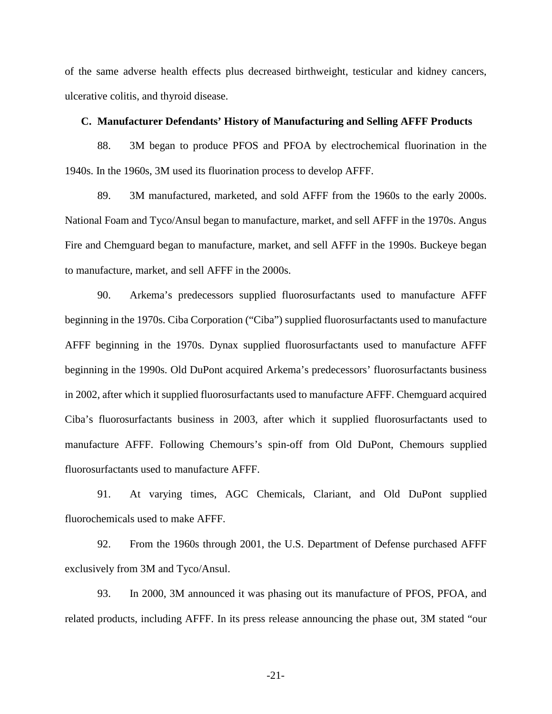of the same adverse health effects plus decreased birthweight, testicular and kidney cancers, ulcerative colitis, and thyroid disease.

### **C. Manufacturer Defendants' History of Manufacturing and Selling AFFF Products**

88. 3M began to produce PFOS and PFOA by electrochemical fluorination in the 1940s. In the 1960s, 3M used its fluorination process to develop AFFF.

89. 3M manufactured, marketed, and sold AFFF from the 1960s to the early 2000s. National Foam and Tyco/Ansul began to manufacture, market, and sell AFFF in the 1970s. Angus Fire and Chemguard began to manufacture, market, and sell AFFF in the 1990s. Buckeye began to manufacture, market, and sell AFFF in the 2000s.

90. Arkema's predecessors supplied fluorosurfactants used to manufacture AFFF beginning in the 1970s. Ciba Corporation ("Ciba") supplied fluorosurfactants used to manufacture AFFF beginning in the 1970s. Dynax supplied fluorosurfactants used to manufacture AFFF beginning in the 1990s. Old DuPont acquired Arkema's predecessors' fluorosurfactants business in 2002, after which it supplied fluorosurfactants used to manufacture AFFF. Chemguard acquired Ciba's fluorosurfactants business in 2003, after which it supplied fluorosurfactants used to manufacture AFFF. Following Chemours's spin-off from Old DuPont, Chemours supplied fluorosurfactants used to manufacture AFFF.

91. At varying times, AGC Chemicals, Clariant, and Old DuPont supplied fluorochemicals used to make AFFF.

92. From the 1960s through 2001, the U.S. Department of Defense purchased AFFF exclusively from 3M and Tyco/Ansul.

93. In 2000, 3M announced it was phasing out its manufacture of PFOS, PFOA, and related products, including AFFF. In its press release announcing the phase out, 3M stated "our

-21-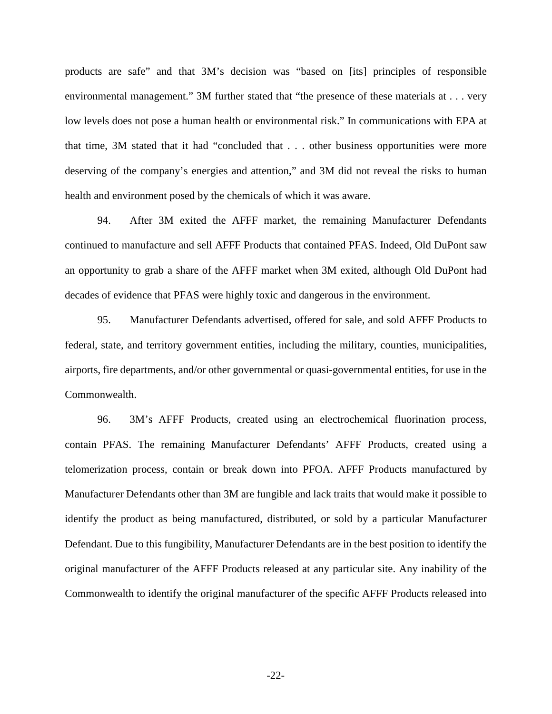products are safe" and that 3M's decision was "based on [its] principles of responsible environmental management." 3M further stated that "the presence of these materials at . . . very low levels does not pose a human health or environmental risk." In communications with EPA at that time, 3M stated that it had "concluded that . . . other business opportunities were more deserving of the company's energies and attention," and 3M did not reveal the risks to human health and environment posed by the chemicals of which it was aware.

94. After 3M exited the AFFF market, the remaining Manufacturer Defendants continued to manufacture and sell AFFF Products that contained PFAS. Indeed, Old DuPont saw an opportunity to grab a share of the AFFF market when 3M exited, although Old DuPont had decades of evidence that PFAS were highly toxic and dangerous in the environment.

95. Manufacturer Defendants advertised, offered for sale, and sold AFFF Products to federal, state, and territory government entities, including the military, counties, municipalities, airports, fire departments, and/or other governmental or quasi-governmental entities, for use in the Commonwealth.

96. 3M's AFFF Products, created using an electrochemical fluorination process, contain PFAS. The remaining Manufacturer Defendants' AFFF Products, created using a telomerization process, contain or break down into PFOA. AFFF Products manufactured by Manufacturer Defendants other than 3M are fungible and lack traits that would make it possible to identify the product as being manufactured, distributed, or sold by a particular Manufacturer Defendant. Due to this fungibility, Manufacturer Defendants are in the best position to identify the original manufacturer of the AFFF Products released at any particular site. Any inability of the Commonwealth to identify the original manufacturer of the specific AFFF Products released into

-22-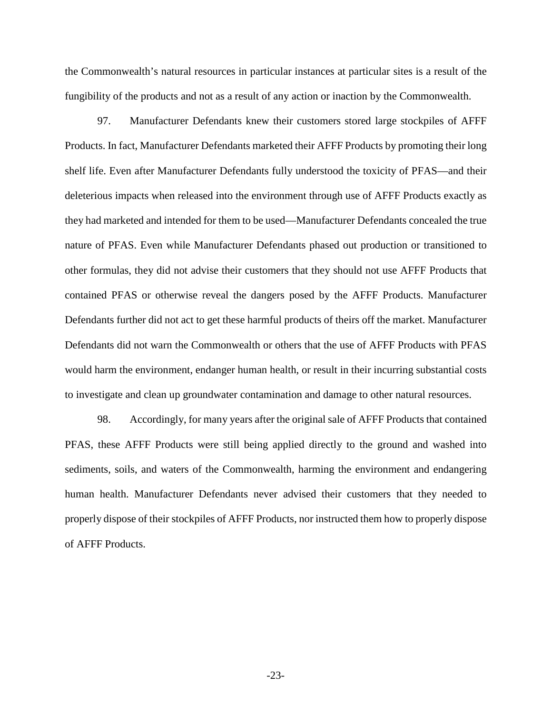the Commonwealth's natural resources in particular instances at particular sites is a result of the fungibility of the products and not as a result of any action or inaction by the Commonwealth.

97. Manufacturer Defendants knew their customers stored large stockpiles of AFFF Products. In fact, Manufacturer Defendants marketed their AFFF Products by promoting their long shelf life. Even after Manufacturer Defendants fully understood the toxicity of PFAS—and their deleterious impacts when released into the environment through use of AFFF Products exactly as they had marketed and intended for them to be used—Manufacturer Defendants concealed the true nature of PFAS. Even while Manufacturer Defendants phased out production or transitioned to other formulas, they did not advise their customers that they should not use AFFF Products that contained PFAS or otherwise reveal the dangers posed by the AFFF Products. Manufacturer Defendants further did not act to get these harmful products of theirs off the market. Manufacturer Defendants did not warn the Commonwealth or others that the use of AFFF Products with PFAS would harm the environment, endanger human health, or result in their incurring substantial costs to investigate and clean up groundwater contamination and damage to other natural resources.

98. Accordingly, for many years after the original sale of AFFF Products that contained PFAS, these AFFF Products were still being applied directly to the ground and washed into sediments, soils, and waters of the Commonwealth, harming the environment and endangering human health. Manufacturer Defendants never advised their customers that they needed to properly dispose of their stockpiles of AFFF Products, nor instructed them how to properly dispose of AFFF Products.

-23-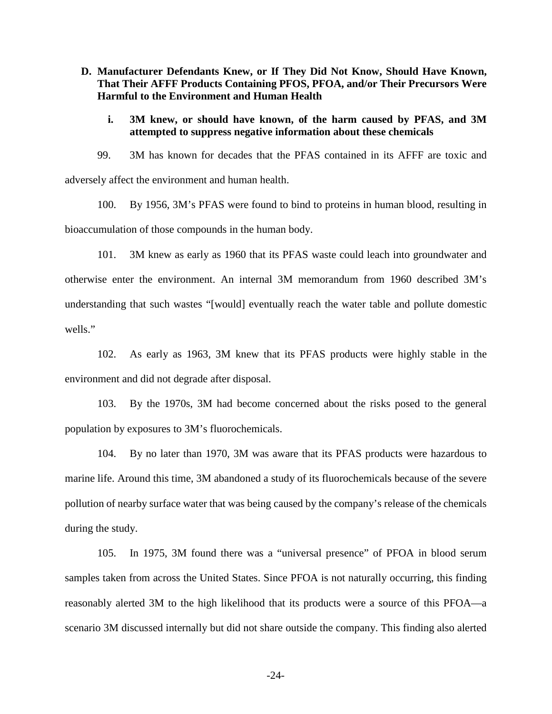**D. Manufacturer Defendants Knew, or If They Did Not Know, Should Have Known, That Their AFFF Products Containing PFOS, PFOA, and/or Their Precursors Were Harmful to the Environment and Human Health** 

## **i. 3M knew, or should have known, of the harm caused by PFAS, and 3M attempted to suppress negative information about these chemicals**

99. 3M has known for decades that the PFAS contained in its AFFF are toxic and adversely affect the environment and human health.

100. By 1956, 3M's PFAS were found to bind to proteins in human blood, resulting in bioaccumulation of those compounds in the human body.

101. 3M knew as early as 1960 that its PFAS waste could leach into groundwater and otherwise enter the environment. An internal 3M memorandum from 1960 described 3M's understanding that such wastes "[would] eventually reach the water table and pollute domestic wells."

102. As early as 1963, 3M knew that its PFAS products were highly stable in the environment and did not degrade after disposal.

103. By the 1970s, 3M had become concerned about the risks posed to the general population by exposures to 3M's fluorochemicals.

104. By no later than 1970, 3M was aware that its PFAS products were hazardous to marine life. Around this time, 3M abandoned a study of its fluorochemicals because of the severe pollution of nearby surface water that was being caused by the company's release of the chemicals during the study.

105. In 1975, 3M found there was a "universal presence" of PFOA in blood serum samples taken from across the United States. Since PFOA is not naturally occurring, this finding reasonably alerted 3M to the high likelihood that its products were a source of this PFOA—a scenario 3M discussed internally but did not share outside the company. This finding also alerted

-24-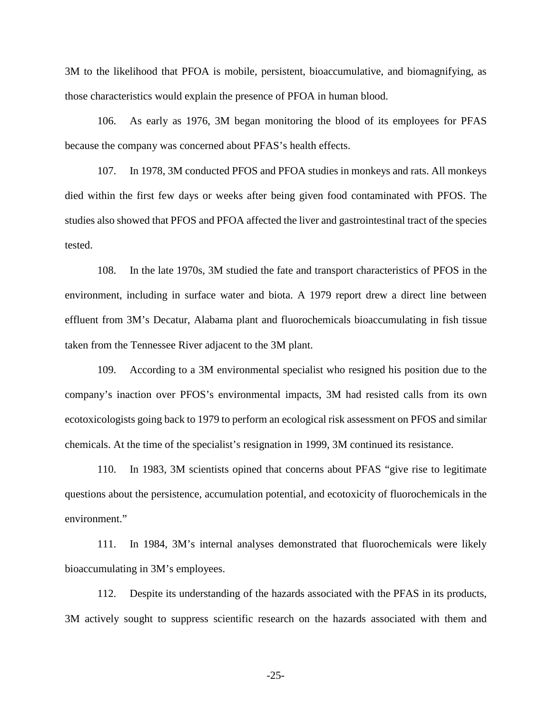3M to the likelihood that PFOA is mobile, persistent, bioaccumulative, and biomagnifying, as those characteristics would explain the presence of PFOA in human blood.

106. As early as 1976, 3M began monitoring the blood of its employees for PFAS because the company was concerned about PFAS's health effects.

107. In 1978, 3M conducted PFOS and PFOA studies in monkeys and rats. All monkeys died within the first few days or weeks after being given food contaminated with PFOS. The studies also showed that PFOS and PFOA affected the liver and gastrointestinal tract of the species tested.

108. In the late 1970s, 3M studied the fate and transport characteristics of PFOS in the environment, including in surface water and biota. A 1979 report drew a direct line between effluent from 3M's Decatur, Alabama plant and fluorochemicals bioaccumulating in fish tissue taken from the Tennessee River adjacent to the 3M plant.

109. According to a 3M environmental specialist who resigned his position due to the company's inaction over PFOS's environmental impacts, 3M had resisted calls from its own ecotoxicologists going back to 1979 to perform an ecological risk assessment on PFOS and similar chemicals. At the time of the specialist's resignation in 1999, 3M continued its resistance.

110. In 1983, 3M scientists opined that concerns about PFAS "give rise to legitimate questions about the persistence, accumulation potential, and ecotoxicity of fluorochemicals in the environment."

111. In 1984, 3M's internal analyses demonstrated that fluorochemicals were likely bioaccumulating in 3M's employees.

112. Despite its understanding of the hazards associated with the PFAS in its products, 3M actively sought to suppress scientific research on the hazards associated with them and

-25-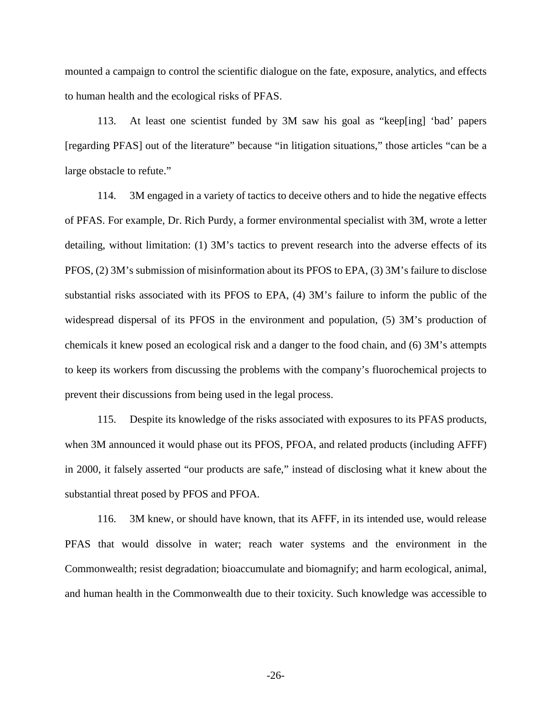mounted a campaign to control the scientific dialogue on the fate, exposure, analytics, and effects to human health and the ecological risks of PFAS.

113. At least one scientist funded by 3M saw his goal as "keep[ing] 'bad' papers [regarding PFAS] out of the literature" because "in litigation situations," those articles "can be a large obstacle to refute."

114. 3M engaged in a variety of tactics to deceive others and to hide the negative effects of PFAS. For example, Dr. Rich Purdy, a former environmental specialist with 3M, wrote a letter detailing, without limitation: (1) 3M's tactics to prevent research into the adverse effects of its PFOS, (2) 3M's submission of misinformation about its PFOS to EPA, (3) 3M's failure to disclose substantial risks associated with its PFOS to EPA, (4) 3M's failure to inform the public of the widespread dispersal of its PFOS in the environment and population, (5) 3M's production of chemicals it knew posed an ecological risk and a danger to the food chain, and (6) 3M's attempts to keep its workers from discussing the problems with the company's fluorochemical projects to prevent their discussions from being used in the legal process.

115. Despite its knowledge of the risks associated with exposures to its PFAS products, when 3M announced it would phase out its PFOS, PFOA, and related products (including AFFF) in 2000, it falsely asserted "our products are safe," instead of disclosing what it knew about the substantial threat posed by PFOS and PFOA.

116. 3M knew, or should have known, that its AFFF, in its intended use, would release PFAS that would dissolve in water; reach water systems and the environment in the Commonwealth; resist degradation; bioaccumulate and biomagnify; and harm ecological, animal, and human health in the Commonwealth due to their toxicity. Such knowledge was accessible to

-26-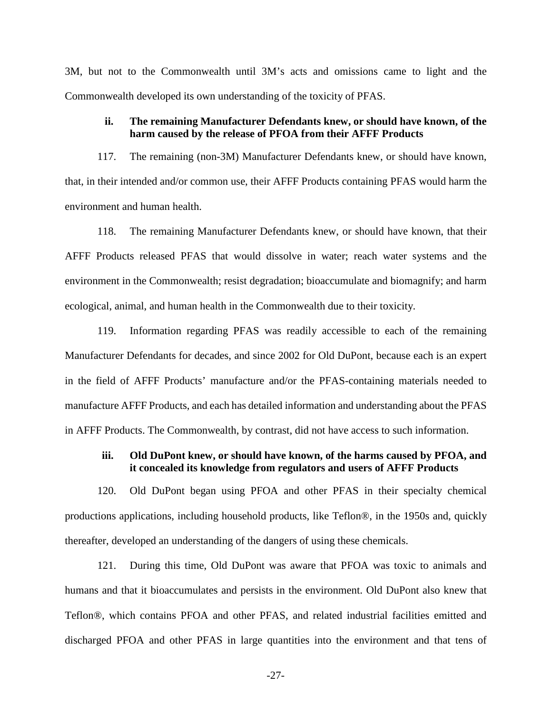3M, but not to the Commonwealth until 3M's acts and omissions came to light and the Commonwealth developed its own understanding of the toxicity of PFAS.

## **ii. The remaining Manufacturer Defendants knew, or should have known, of the harm caused by the release of PFOA from their AFFF Products**

117. The remaining (non-3M) Manufacturer Defendants knew, or should have known, that, in their intended and/or common use, their AFFF Products containing PFAS would harm the environment and human health.

118. The remaining Manufacturer Defendants knew, or should have known, that their AFFF Products released PFAS that would dissolve in water; reach water systems and the environment in the Commonwealth; resist degradation; bioaccumulate and biomagnify; and harm ecological, animal, and human health in the Commonwealth due to their toxicity.

119. Information regarding PFAS was readily accessible to each of the remaining Manufacturer Defendants for decades, and since 2002 for Old DuPont, because each is an expert in the field of AFFF Products' manufacture and/or the PFAS-containing materials needed to manufacture AFFF Products, and each has detailed information and understanding about the PFAS in AFFF Products. The Commonwealth, by contrast, did not have access to such information.

# **iii. Old DuPont knew, or should have known, of the harms caused by PFOA, and it concealed its knowledge from regulators and users of AFFF Products**

120. Old DuPont began using PFOA and other PFAS in their specialty chemical productions applications, including household products, like Teflon®, in the 1950s and, quickly thereafter, developed an understanding of the dangers of using these chemicals.

121. During this time, Old DuPont was aware that PFOA was toxic to animals and humans and that it bioaccumulates and persists in the environment. Old DuPont also knew that Teflon®, which contains PFOA and other PFAS, and related industrial facilities emitted and discharged PFOA and other PFAS in large quantities into the environment and that tens of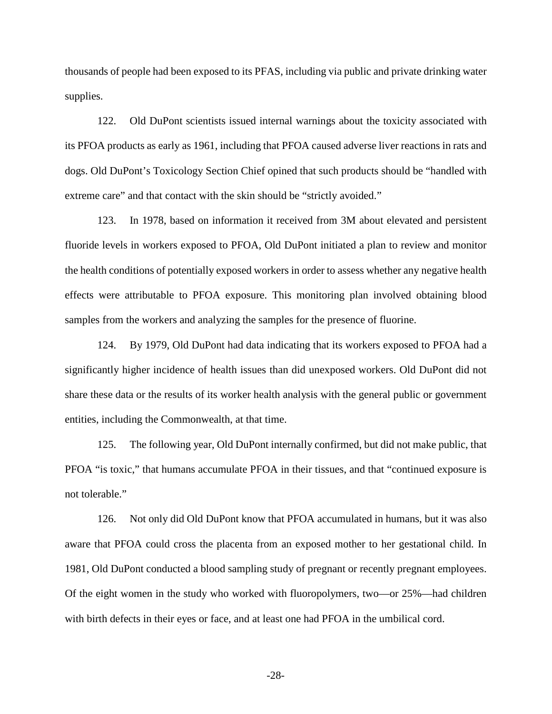thousands of people had been exposed to its PFAS, including via public and private drinking water supplies.

122. Old DuPont scientists issued internal warnings about the toxicity associated with its PFOA products as early as 1961, including that PFOA caused adverse liver reactions in rats and dogs. Old DuPont's Toxicology Section Chief opined that such products should be "handled with extreme care" and that contact with the skin should be "strictly avoided."

123. In 1978, based on information it received from 3M about elevated and persistent fluoride levels in workers exposed to PFOA, Old DuPont initiated a plan to review and monitor the health conditions of potentially exposed workers in order to assess whether any negative health effects were attributable to PFOA exposure. This monitoring plan involved obtaining blood samples from the workers and analyzing the samples for the presence of fluorine.

124. By 1979, Old DuPont had data indicating that its workers exposed to PFOA had a significantly higher incidence of health issues than did unexposed workers. Old DuPont did not share these data or the results of its worker health analysis with the general public or government entities, including the Commonwealth, at that time.

125. The following year, Old DuPont internally confirmed, but did not make public, that PFOA "is toxic," that humans accumulate PFOA in their tissues, and that "continued exposure is not tolerable."

126. Not only did Old DuPont know that PFOA accumulated in humans, but it was also aware that PFOA could cross the placenta from an exposed mother to her gestational child. In 1981, Old DuPont conducted a blood sampling study of pregnant or recently pregnant employees. Of the eight women in the study who worked with fluoropolymers, two—or 25%—had children with birth defects in their eyes or face, and at least one had PFOA in the umbilical cord.

-28-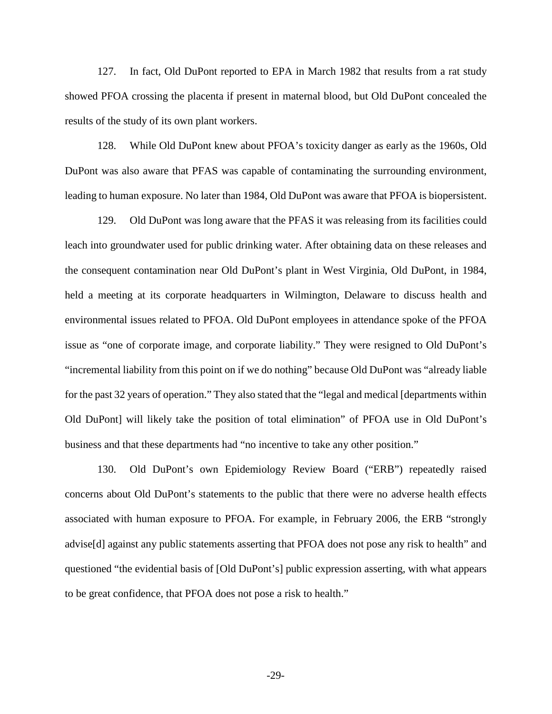127. In fact, Old DuPont reported to EPA in March 1982 that results from a rat study showed PFOA crossing the placenta if present in maternal blood, but Old DuPont concealed the results of the study of its own plant workers.

128. While Old DuPont knew about PFOA's toxicity danger as early as the 1960s, Old DuPont was also aware that PFAS was capable of contaminating the surrounding environment, leading to human exposure. No later than 1984, Old DuPont was aware that PFOA is biopersistent.

129. Old DuPont was long aware that the PFAS it was releasing from its facilities could leach into groundwater used for public drinking water. After obtaining data on these releases and the consequent contamination near Old DuPont's plant in West Virginia, Old DuPont, in 1984, held a meeting at its corporate headquarters in Wilmington, Delaware to discuss health and environmental issues related to PFOA. Old DuPont employees in attendance spoke of the PFOA issue as "one of corporate image, and corporate liability." They were resigned to Old DuPont's "incremental liability from this point on if we do nothing" because Old DuPont was "already liable for the past 32 years of operation." They also stated that the "legal and medical [departments within Old DuPont] will likely take the position of total elimination" of PFOA use in Old DuPont's business and that these departments had "no incentive to take any other position."

130. Old DuPont's own Epidemiology Review Board ("ERB") repeatedly raised concerns about Old DuPont's statements to the public that there were no adverse health effects associated with human exposure to PFOA. For example, in February 2006, the ERB "strongly advise[d] against any public statements asserting that PFOA does not pose any risk to health" and questioned "the evidential basis of [Old DuPont's] public expression asserting, with what appears to be great confidence, that PFOA does not pose a risk to health."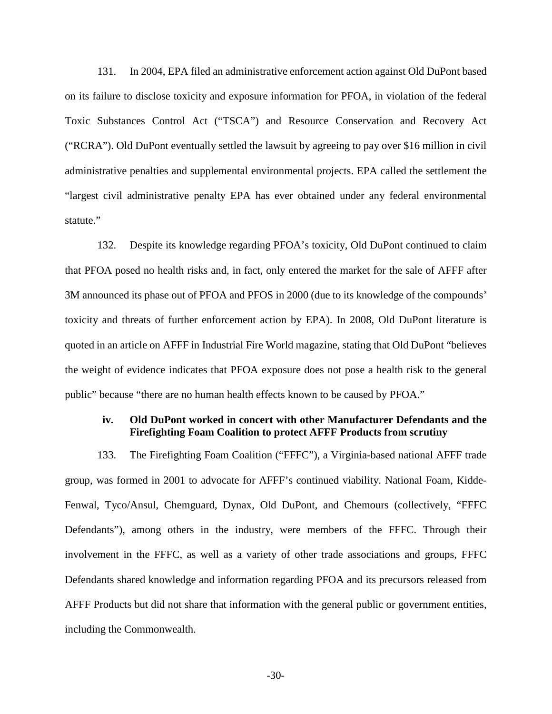131. In 2004, EPA filed an administrative enforcement action against Old DuPont based on its failure to disclose toxicity and exposure information for PFOA, in violation of the federal Toxic Substances Control Act ("TSCA") and Resource Conservation and Recovery Act ("RCRA"). Old DuPont eventually settled the lawsuit by agreeing to pay over \$16 million in civil administrative penalties and supplemental environmental projects. EPA called the settlement the "largest civil administrative penalty EPA has ever obtained under any federal environmental statute."

132. Despite its knowledge regarding PFOA's toxicity, Old DuPont continued to claim that PFOA posed no health risks and, in fact, only entered the market for the sale of AFFF after 3M announced its phase out of PFOA and PFOS in 2000 (due to its knowledge of the compounds' toxicity and threats of further enforcement action by EPA). In 2008, Old DuPont literature is quoted in an article on AFFF in Industrial Fire World magazine, stating that Old DuPont "believes the weight of evidence indicates that PFOA exposure does not pose a health risk to the general public" because "there are no human health effects known to be caused by PFOA."

## **iv. Old DuPont worked in concert with other Manufacturer Defendants and the Firefighting Foam Coalition to protect AFFF Products from scrutiny**

133. The Firefighting Foam Coalition ("FFFC"), a Virginia-based national AFFF trade group, was formed in 2001 to advocate for AFFF's continued viability. National Foam, Kidde-Fenwal, Tyco/Ansul, Chemguard, Dynax, Old DuPont, and Chemours (collectively, "FFFC Defendants"), among others in the industry, were members of the FFFC. Through their involvement in the FFFC, as well as a variety of other trade associations and groups, FFFC Defendants shared knowledge and information regarding PFOA and its precursors released from AFFF Products but did not share that information with the general public or government entities, including the Commonwealth.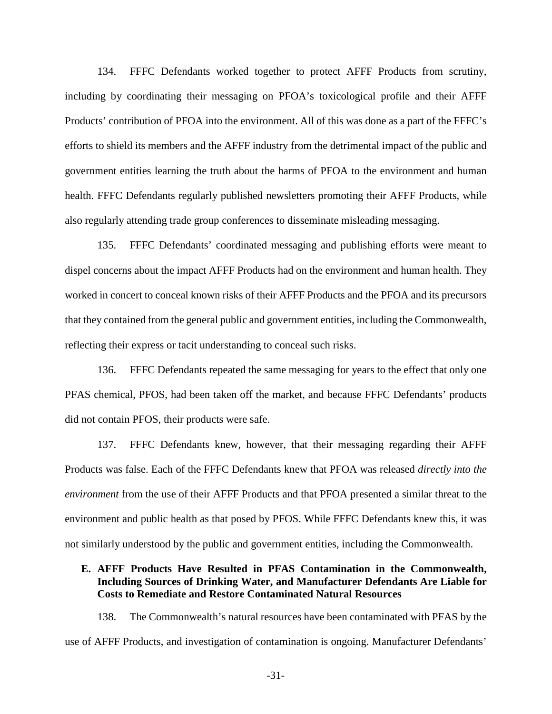134. FFFC Defendants worked together to protect AFFF Products from scrutiny, including by coordinating their messaging on PFOA's toxicological profile and their AFFF Products' contribution of PFOA into the environment. All of this was done as a part of the FFFC's efforts to shield its members and the AFFF industry from the detrimental impact of the public and government entities learning the truth about the harms of PFOA to the environment and human health. FFFC Defendants regularly published newsletters promoting their AFFF Products, while also regularly attending trade group conferences to disseminate misleading messaging.

135. FFFC Defendants' coordinated messaging and publishing efforts were meant to dispel concerns about the impact AFFF Products had on the environment and human health. They worked in concert to conceal known risks of their AFFF Products and the PFOA and its precursors that they contained from the general public and government entities, including the Commonwealth, reflecting their express or tacit understanding to conceal such risks.

136. FFFC Defendants repeated the same messaging for years to the effect that only one PFAS chemical, PFOS, had been taken off the market, and because FFFC Defendants' products did not contain PFOS, their products were safe.

137. FFFC Defendants knew, however, that their messaging regarding their AFFF Products was false. Each of the FFFC Defendants knew that PFOA was released *directly into the environment* from the use of their AFFF Products and that PFOA presented a similar threat to the environment and public health as that posed by PFOS. While FFFC Defendants knew this, it was not similarly understood by the public and government entities, including the Commonwealth.

# **E. AFFF Products Have Resulted in PFAS Contamination in the Commonwealth, Including Sources of Drinking Water, and Manufacturer Defendants Are Liable for Costs to Remediate and Restore Contaminated Natural Resources**

138. The Commonwealth's natural resources have been contaminated with PFAS by the use of AFFF Products, and investigation of contamination is ongoing. Manufacturer Defendants'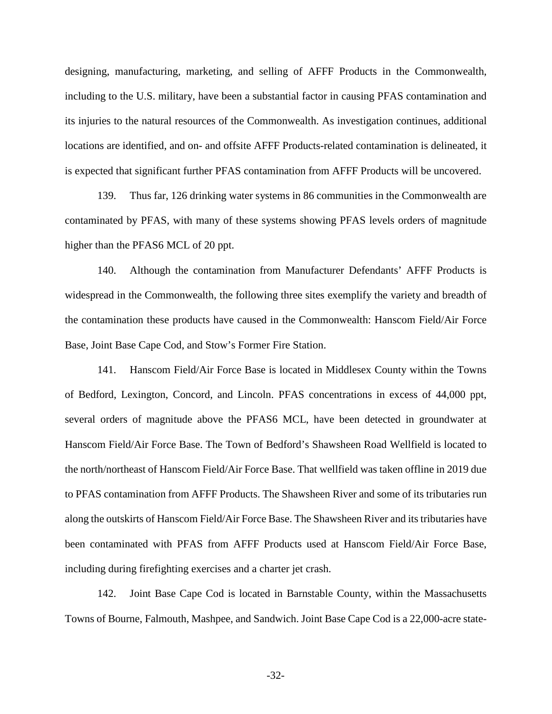designing, manufacturing, marketing, and selling of AFFF Products in the Commonwealth, including to the U.S. military, have been a substantial factor in causing PFAS contamination and its injuries to the natural resources of the Commonwealth. As investigation continues, additional locations are identified, and on- and offsite AFFF Products-related contamination is delineated, it is expected that significant further PFAS contamination from AFFF Products will be uncovered.

139. Thus far, 126 drinking water systems in 86 communities in the Commonwealth are contaminated by PFAS, with many of these systems showing PFAS levels orders of magnitude higher than the PFAS6 MCL of 20 ppt.

140. Although the contamination from Manufacturer Defendants' AFFF Products is widespread in the Commonwealth, the following three sites exemplify the variety and breadth of the contamination these products have caused in the Commonwealth: Hanscom Field/Air Force Base, Joint Base Cape Cod, and Stow's Former Fire Station.

141. Hanscom Field/Air Force Base is located in Middlesex County within the Towns of Bedford, Lexington, Concord, and Lincoln. PFAS concentrations in excess of 44,000 ppt, several orders of magnitude above the PFAS6 MCL, have been detected in groundwater at Hanscom Field/Air Force Base. The Town of Bedford's Shawsheen Road Wellfield is located to the north/northeast of Hanscom Field/Air Force Base. That wellfield was taken offline in 2019 due to PFAS contamination from AFFF Products. The Shawsheen River and some of its tributaries run along the outskirts of Hanscom Field/Air Force Base. The Shawsheen River and its tributaries have been contaminated with PFAS from AFFF Products used at Hanscom Field/Air Force Base, including during firefighting exercises and a charter jet crash.

142. Joint Base Cape Cod is located in Barnstable County, within the Massachusetts Towns of Bourne, Falmouth, Mashpee, and Sandwich. Joint Base Cape Cod is a 22,000-acre state-

-32-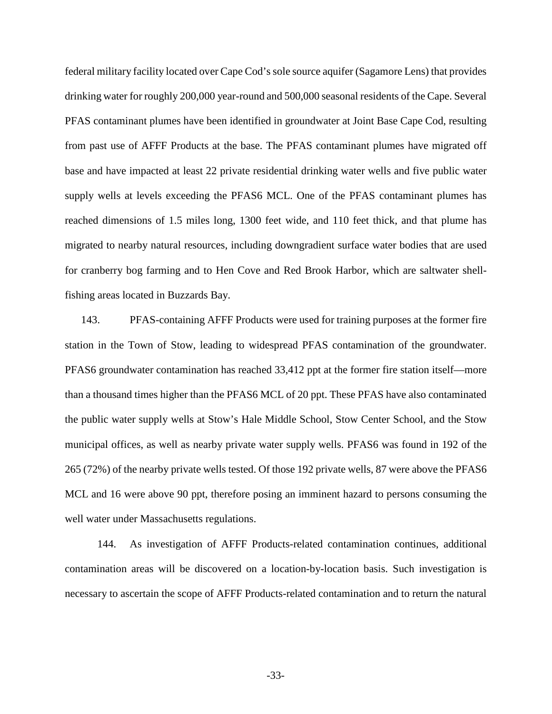federal military facility located over Cape Cod's sole source aquifer (Sagamore Lens) that provides drinking water for roughly 200,000 year-round and 500,000 seasonal residents of the Cape. Several PFAS contaminant plumes have been identified in groundwater at Joint Base Cape Cod, resulting from past use of AFFF Products at the base. The PFAS contaminant plumes have migrated off base and have impacted at least 22 private residential drinking water wells and five public water supply wells at levels exceeding the PFAS6 MCL. One of the PFAS contaminant plumes has reached dimensions of 1.5 miles long, 1300 feet wide, and 110 feet thick, and that plume has migrated to nearby natural resources, including downgradient surface water bodies that are used for cranberry bog farming and to Hen Cove and Red Brook Harbor, which are saltwater shellfishing areas located in Buzzards Bay.

143. PFAS-containing AFFF Products were used for training purposes at the former fire station in the Town of Stow, leading to widespread PFAS contamination of the groundwater. PFAS6 groundwater contamination has reached 33,412 ppt at the former fire station itself—more than a thousand times higher than the PFAS6 MCL of 20 ppt. These PFAS have also contaminated the public water supply wells at Stow's Hale Middle School, Stow Center School, and the Stow municipal offices, as well as nearby private water supply wells. PFAS6 was found in 192 of the 265 (72%) of the nearby private wells tested. Of those 192 private wells, 87 were above the PFAS6 MCL and 16 were above 90 ppt, therefore posing an imminent hazard to persons consuming the well water under Massachusetts regulations.

144. As investigation of AFFF Products-related contamination continues, additional contamination areas will be discovered on a location-by-location basis. Such investigation is necessary to ascertain the scope of AFFF Products-related contamination and to return the natural

-33-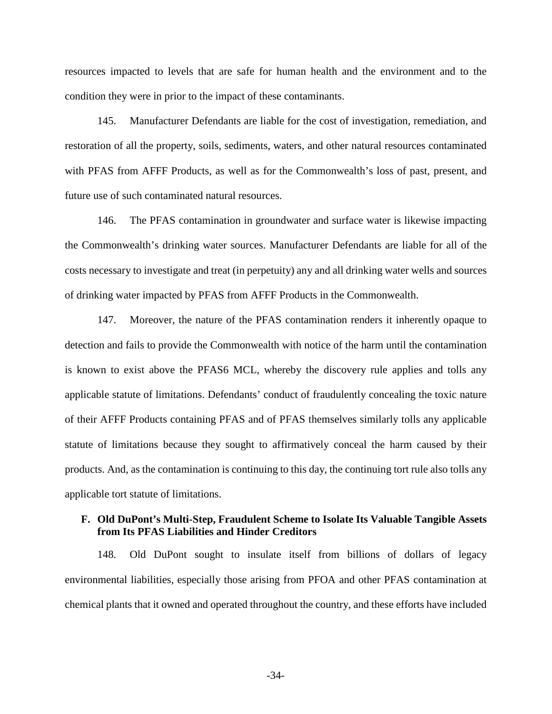resources impacted to levels that are safe for human health and the environment and to the condition they were in prior to the impact of these contaminants.

145. Manufacturer Defendants are liable for the cost of investigation, remediation, and restoration of all the property, soils, sediments, waters, and other natural resources contaminated with PFAS from AFFF Products, as well as for the Commonwealth's loss of past, present, and future use of such contaminated natural resources.

146. The PFAS contamination in groundwater and surface water is likewise impacting the Commonwealth's drinking water sources. Manufacturer Defendants are liable for all of the costs necessary to investigate and treat (in perpetuity) any and all drinking water wells and sources of drinking water impacted by PFAS from AFFF Products in the Commonwealth.

147. Moreover, the nature of the PFAS contamination renders it inherently opaque to detection and fails to provide the Commonwealth with notice of the harm until the contamination is known to exist above the PFAS6 MCL, whereby the discovery rule applies and tolls any applicable statute of limitations. Defendants' conduct of fraudulently concealing the toxic nature of their AFFF Products containing PFAS and of PFAS themselves similarly tolls any applicable statute of limitations because they sought to affirmatively conceal the harm caused by their products. And, as the contamination is continuing to this day, the continuing tort rule also tolls any applicable tort statute of limitations.

# **F. Old DuPont's Multi-Step, Fraudulent Scheme to Isolate Its Valuable Tangible Assets from Its PFAS Liabilities and Hinder Creditors**

148. Old DuPont sought to insulate itself from billions of dollars of legacy environmental liabilities, especially those arising from PFOA and other PFAS contamination at chemical plants that it owned and operated throughout the country, and these efforts have included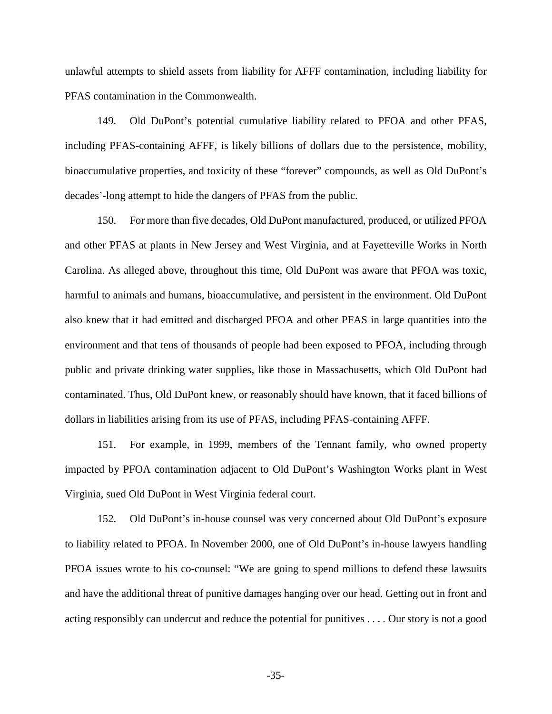unlawful attempts to shield assets from liability for AFFF contamination, including liability for PFAS contamination in the Commonwealth.

149. Old DuPont's potential cumulative liability related to PFOA and other PFAS, including PFAS-containing AFFF, is likely billions of dollars due to the persistence, mobility, bioaccumulative properties, and toxicity of these "forever" compounds, as well as Old DuPont's decades'-long attempt to hide the dangers of PFAS from the public.

150. For more than five decades, Old DuPont manufactured, produced, or utilized PFOA and other PFAS at plants in New Jersey and West Virginia, and at Fayetteville Works in North Carolina. As alleged above, throughout this time, Old DuPont was aware that PFOA was toxic, harmful to animals and humans, bioaccumulative, and persistent in the environment. Old DuPont also knew that it had emitted and discharged PFOA and other PFAS in large quantities into the environment and that tens of thousands of people had been exposed to PFOA, including through public and private drinking water supplies, like those in Massachusetts, which Old DuPont had contaminated. Thus, Old DuPont knew, or reasonably should have known, that it faced billions of dollars in liabilities arising from its use of PFAS, including PFAS-containing AFFF.

151. For example, in 1999, members of the Tennant family, who owned property impacted by PFOA contamination adjacent to Old DuPont's Washington Works plant in West Virginia, sued Old DuPont in West Virginia federal court.

152. Old DuPont's in-house counsel was very concerned about Old DuPont's exposure to liability related to PFOA. In November 2000, one of Old DuPont's in-house lawyers handling PFOA issues wrote to his co-counsel: "We are going to spend millions to defend these lawsuits and have the additional threat of punitive damages hanging over our head. Getting out in front and acting responsibly can undercut and reduce the potential for punitives . . . . Our story is not a good

-35-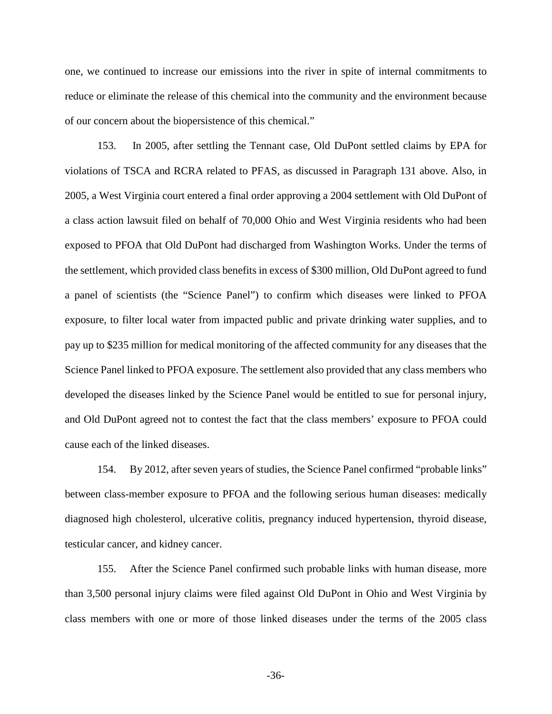one, we continued to increase our emissions into the river in spite of internal commitments to reduce or eliminate the release of this chemical into the community and the environment because of our concern about the biopersistence of this chemical."

153. In 2005, after settling the Tennant case, Old DuPont settled claims by EPA for violations of TSCA and RCRA related to PFAS, as discussed in Paragraph 131 above. Also, in 2005, a West Virginia court entered a final order approving a 2004 settlement with Old DuPont of a class action lawsuit filed on behalf of 70,000 Ohio and West Virginia residents who had been exposed to PFOA that Old DuPont had discharged from Washington Works. Under the terms of the settlement, which provided class benefits in excess of \$300 million, Old DuPont agreed to fund a panel of scientists (the "Science Panel") to confirm which diseases were linked to PFOA exposure, to filter local water from impacted public and private drinking water supplies, and to pay up to \$235 million for medical monitoring of the affected community for any diseases that the Science Panel linked to PFOA exposure. The settlement also provided that any class members who developed the diseases linked by the Science Panel would be entitled to sue for personal injury, and Old DuPont agreed not to contest the fact that the class members' exposure to PFOA could cause each of the linked diseases.

154. By 2012, after seven years of studies, the Science Panel confirmed "probable links" between class-member exposure to PFOA and the following serious human diseases: medically diagnosed high cholesterol, ulcerative colitis, pregnancy induced hypertension, thyroid disease, testicular cancer, and kidney cancer.

155. After the Science Panel confirmed such probable links with human disease, more than 3,500 personal injury claims were filed against Old DuPont in Ohio and West Virginia by class members with one or more of those linked diseases under the terms of the 2005 class

-36-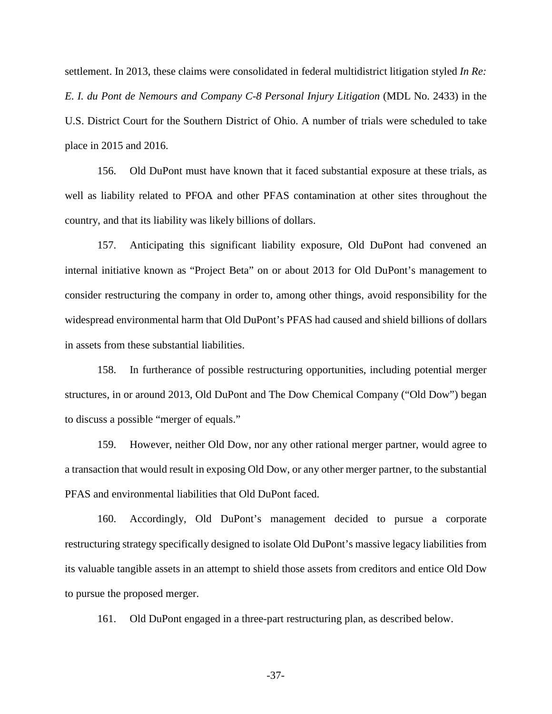settlement. In 2013, these claims were consolidated in federal multidistrict litigation styled *In Re: E. I. du Pont de Nemours and Company C-8 Personal Injury Litigation* (MDL No. 2433) in the U.S. District Court for the Southern District of Ohio. A number of trials were scheduled to take place in 2015 and 2016.

156. Old DuPont must have known that it faced substantial exposure at these trials, as well as liability related to PFOA and other PFAS contamination at other sites throughout the country, and that its liability was likely billions of dollars.

157. Anticipating this significant liability exposure, Old DuPont had convened an internal initiative known as "Project Beta" on or about 2013 for Old DuPont's management to consider restructuring the company in order to, among other things, avoid responsibility for the widespread environmental harm that Old DuPont's PFAS had caused and shield billions of dollars in assets from these substantial liabilities.

158. In furtherance of possible restructuring opportunities, including potential merger structures, in or around 2013, Old DuPont and The Dow Chemical Company ("Old Dow") began to discuss a possible "merger of equals."

159. However, neither Old Dow, nor any other rational merger partner, would agree to a transaction that would result in exposing Old Dow, or any other merger partner, to the substantial PFAS and environmental liabilities that Old DuPont faced.

160. Accordingly, Old DuPont's management decided to pursue a corporate restructuring strategy specifically designed to isolate Old DuPont's massive legacy liabilities from its valuable tangible assets in an attempt to shield those assets from creditors and entice Old Dow to pursue the proposed merger.

161. Old DuPont engaged in a three-part restructuring plan, as described below.

-37-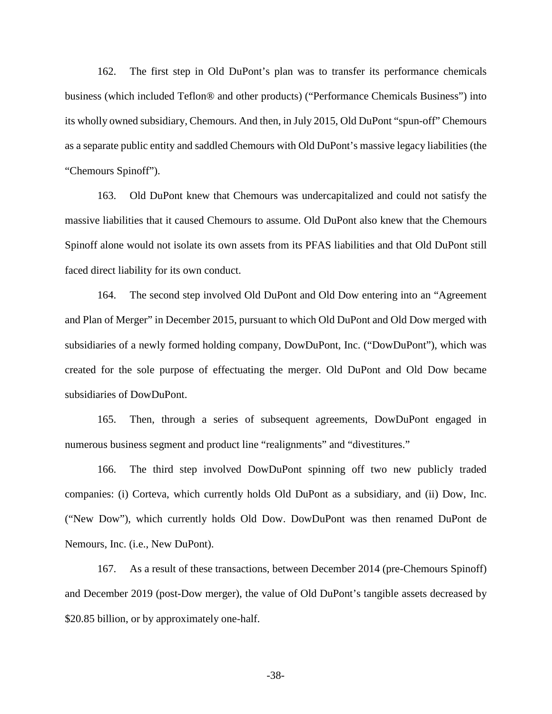162. The first step in Old DuPont's plan was to transfer its performance chemicals business (which included Teflon® and other products) ("Performance Chemicals Business") into its wholly owned subsidiary, Chemours. And then, in July 2015, Old DuPont "spun-off" Chemours as a separate public entity and saddled Chemours with Old DuPont's massive legacy liabilities (the "Chemours Spinoff").

163. Old DuPont knew that Chemours was undercapitalized and could not satisfy the massive liabilities that it caused Chemours to assume. Old DuPont also knew that the Chemours Spinoff alone would not isolate its own assets from its PFAS liabilities and that Old DuPont still faced direct liability for its own conduct.

164. The second step involved Old DuPont and Old Dow entering into an "Agreement and Plan of Merger" in December 2015, pursuant to which Old DuPont and Old Dow merged with subsidiaries of a newly formed holding company, DowDuPont, Inc. ("DowDuPont"), which was created for the sole purpose of effectuating the merger. Old DuPont and Old Dow became subsidiaries of DowDuPont.

165. Then, through a series of subsequent agreements, DowDuPont engaged in numerous business segment and product line "realignments" and "divestitures."

166. The third step involved DowDuPont spinning off two new publicly traded companies: (i) Corteva, which currently holds Old DuPont as a subsidiary, and (ii) Dow, Inc. ("New Dow"), which currently holds Old Dow. DowDuPont was then renamed DuPont de Nemours, Inc. (i.e., New DuPont).

167. As a result of these transactions, between December 2014 (pre-Chemours Spinoff) and December 2019 (post-Dow merger), the value of Old DuPont's tangible assets decreased by \$20.85 billion, or by approximately one-half.

-38-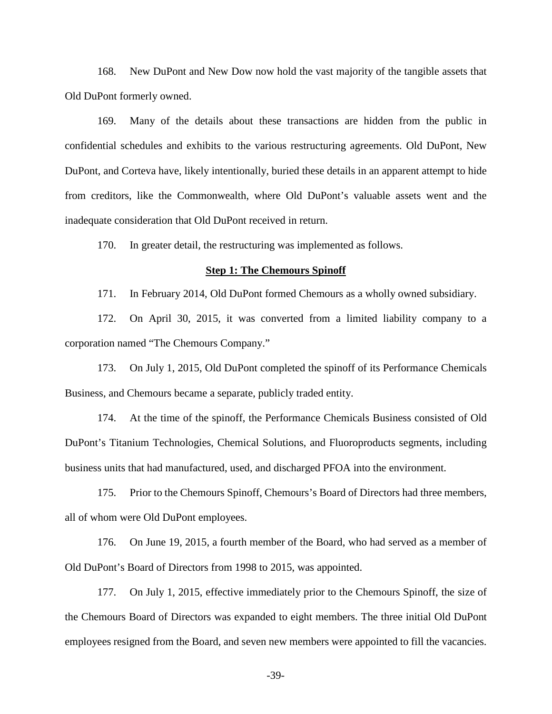168. New DuPont and New Dow now hold the vast majority of the tangible assets that Old DuPont formerly owned.

169. Many of the details about these transactions are hidden from the public in confidential schedules and exhibits to the various restructuring agreements. Old DuPont, New DuPont, and Corteva have, likely intentionally, buried these details in an apparent attempt to hide from creditors, like the Commonwealth, where Old DuPont's valuable assets went and the inadequate consideration that Old DuPont received in return.

170. In greater detail, the restructuring was implemented as follows.

#### **Step 1: The Chemours Spinoff**

171. In February 2014, Old DuPont formed Chemours as a wholly owned subsidiary.

172. On April 30, 2015, it was converted from a limited liability company to a corporation named "The Chemours Company."

173. On July 1, 2015, Old DuPont completed the spinoff of its Performance Chemicals Business, and Chemours became a separate, publicly traded entity.

174. At the time of the spinoff, the Performance Chemicals Business consisted of Old DuPont's Titanium Technologies, Chemical Solutions, and Fluoroproducts segments, including business units that had manufactured, used, and discharged PFOA into the environment.

175. Prior to the Chemours Spinoff, Chemours's Board of Directors had three members, all of whom were Old DuPont employees.

176. On June 19, 2015, a fourth member of the Board, who had served as a member of Old DuPont's Board of Directors from 1998 to 2015, was appointed.

177. On July 1, 2015, effective immediately prior to the Chemours Spinoff, the size of the Chemours Board of Directors was expanded to eight members. The three initial Old DuPont employees resigned from the Board, and seven new members were appointed to fill the vacancies.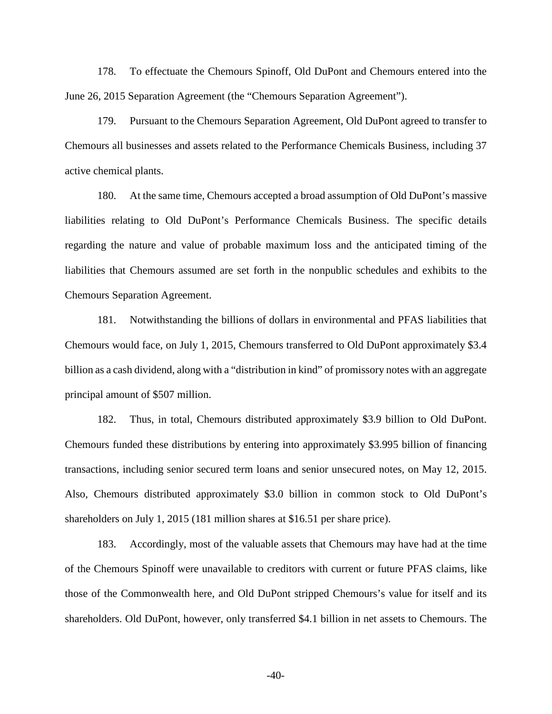178. To effectuate the Chemours Spinoff, Old DuPont and Chemours entered into the June 26, 2015 Separation Agreement (the "Chemours Separation Agreement").

179. Pursuant to the Chemours Separation Agreement, Old DuPont agreed to transfer to Chemours all businesses and assets related to the Performance Chemicals Business, including 37 active chemical plants.

180. At the same time, Chemours accepted a broad assumption of Old DuPont's massive liabilities relating to Old DuPont's Performance Chemicals Business. The specific details regarding the nature and value of probable maximum loss and the anticipated timing of the liabilities that Chemours assumed are set forth in the nonpublic schedules and exhibits to the Chemours Separation Agreement.

181. Notwithstanding the billions of dollars in environmental and PFAS liabilities that Chemours would face, on July 1, 2015, Chemours transferred to Old DuPont approximately \$3.4 billion as a cash dividend, along with a "distribution in kind" of promissory notes with an aggregate principal amount of \$507 million.

182. Thus, in total, Chemours distributed approximately \$3.9 billion to Old DuPont. Chemours funded these distributions by entering into approximately \$3.995 billion of financing transactions, including senior secured term loans and senior unsecured notes, on May 12, 2015. Also, Chemours distributed approximately \$3.0 billion in common stock to Old DuPont's shareholders on July 1, 2015 (181 million shares at \$16.51 per share price).

183. Accordingly, most of the valuable assets that Chemours may have had at the time of the Chemours Spinoff were unavailable to creditors with current or future PFAS claims, like those of the Commonwealth here, and Old DuPont stripped Chemours's value for itself and its shareholders. Old DuPont, however, only transferred \$4.1 billion in net assets to Chemours. The

-40-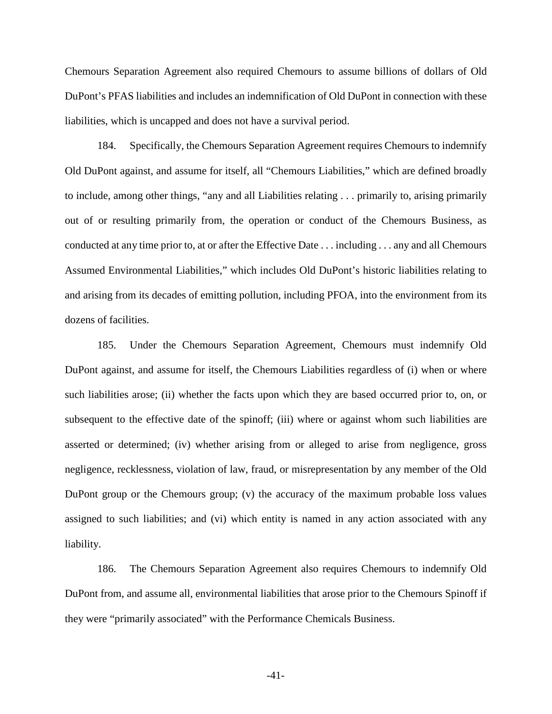Chemours Separation Agreement also required Chemours to assume billions of dollars of Old DuPont's PFAS liabilities and includes an indemnification of Old DuPont in connection with these liabilities, which is uncapped and does not have a survival period.

184. Specifically, the Chemours Separation Agreement requires Chemours to indemnify Old DuPont against, and assume for itself, all "Chemours Liabilities," which are defined broadly to include, among other things, "any and all Liabilities relating . . . primarily to, arising primarily out of or resulting primarily from, the operation or conduct of the Chemours Business, as conducted at any time prior to, at or after the Effective Date . . . including . . . any and all Chemours Assumed Environmental Liabilities," which includes Old DuPont's historic liabilities relating to and arising from its decades of emitting pollution, including PFOA, into the environment from its dozens of facilities.

185. Under the Chemours Separation Agreement, Chemours must indemnify Old DuPont against, and assume for itself, the Chemours Liabilities regardless of (i) when or where such liabilities arose; (ii) whether the facts upon which they are based occurred prior to, on, or subsequent to the effective date of the spinoff; (iii) where or against whom such liabilities are asserted or determined; (iv) whether arising from or alleged to arise from negligence, gross negligence, recklessness, violation of law, fraud, or misrepresentation by any member of the Old DuPont group or the Chemours group; (v) the accuracy of the maximum probable loss values assigned to such liabilities; and (vi) which entity is named in any action associated with any liability.

186. The Chemours Separation Agreement also requires Chemours to indemnify Old DuPont from, and assume all, environmental liabilities that arose prior to the Chemours Spinoff if they were "primarily associated" with the Performance Chemicals Business.

-41-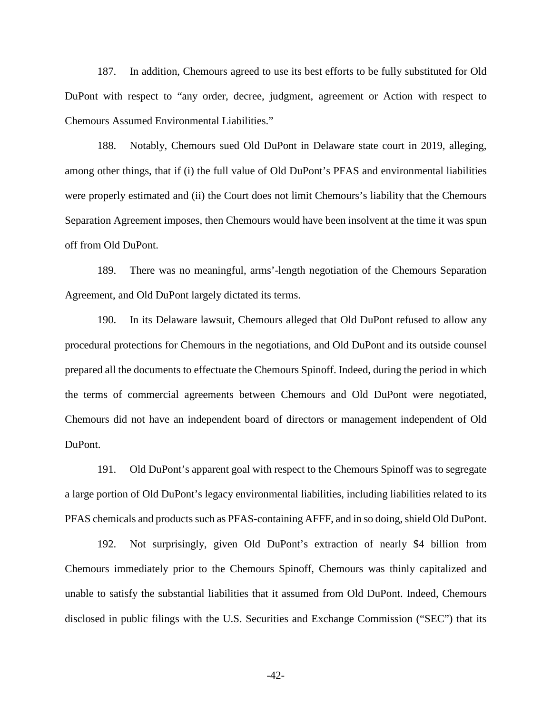187. In addition, Chemours agreed to use its best efforts to be fully substituted for Old DuPont with respect to "any order, decree, judgment, agreement or Action with respect to Chemours Assumed Environmental Liabilities."

188. Notably, Chemours sued Old DuPont in Delaware state court in 2019, alleging, among other things, that if (i) the full value of Old DuPont's PFAS and environmental liabilities were properly estimated and (ii) the Court does not limit Chemours's liability that the Chemours Separation Agreement imposes, then Chemours would have been insolvent at the time it was spun off from Old DuPont.

189. There was no meaningful, arms'-length negotiation of the Chemours Separation Agreement, and Old DuPont largely dictated its terms.

190. In its Delaware lawsuit, Chemours alleged that Old DuPont refused to allow any procedural protections for Chemours in the negotiations, and Old DuPont and its outside counsel prepared all the documents to effectuate the Chemours Spinoff. Indeed, during the period in which the terms of commercial agreements between Chemours and Old DuPont were negotiated, Chemours did not have an independent board of directors or management independent of Old DuPont.

191. Old DuPont's apparent goal with respect to the Chemours Spinoff was to segregate a large portion of Old DuPont's legacy environmental liabilities, including liabilities related to its PFAS chemicals and products such as PFAS-containing AFFF, and in so doing, shield Old DuPont.

192. Not surprisingly, given Old DuPont's extraction of nearly \$4 billion from Chemours immediately prior to the Chemours Spinoff, Chemours was thinly capitalized and unable to satisfy the substantial liabilities that it assumed from Old DuPont. Indeed, Chemours disclosed in public filings with the U.S. Securities and Exchange Commission ("SEC") that its

-42-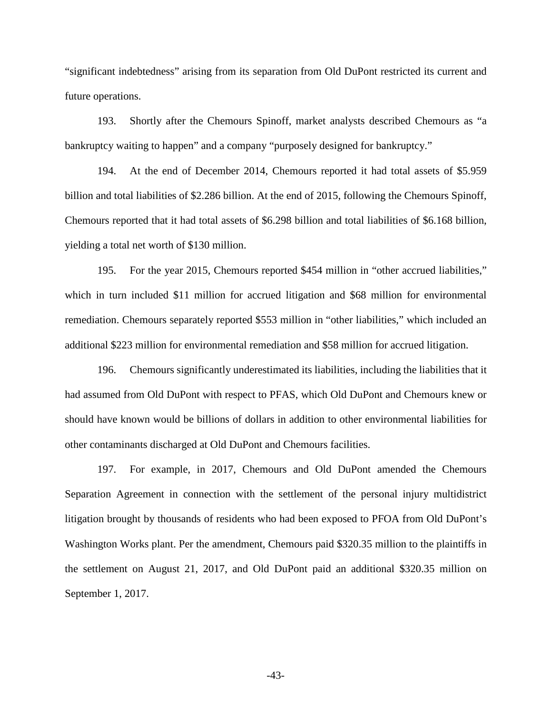"significant indebtedness" arising from its separation from Old DuPont restricted its current and future operations.

193. Shortly after the Chemours Spinoff, market analysts described Chemours as "a bankruptcy waiting to happen" and a company "purposely designed for bankruptcy."

194. At the end of December 2014, Chemours reported it had total assets of \$5.959 billion and total liabilities of \$2.286 billion. At the end of 2015, following the Chemours Spinoff, Chemours reported that it had total assets of \$6.298 billion and total liabilities of \$6.168 billion, yielding a total net worth of \$130 million.

195. For the year 2015, Chemours reported \$454 million in "other accrued liabilities," which in turn included \$11 million for accrued litigation and \$68 million for environmental remediation. Chemours separately reported \$553 million in "other liabilities," which included an additional \$223 million for environmental remediation and \$58 million for accrued litigation.

196. Chemours significantly underestimated its liabilities, including the liabilities that it had assumed from Old DuPont with respect to PFAS, which Old DuPont and Chemours knew or should have known would be billions of dollars in addition to other environmental liabilities for other contaminants discharged at Old DuPont and Chemours facilities.

197. For example, in 2017, Chemours and Old DuPont amended the Chemours Separation Agreement in connection with the settlement of the personal injury multidistrict litigation brought by thousands of residents who had been exposed to PFOA from Old DuPont's Washington Works plant. Per the amendment, Chemours paid \$320.35 million to the plaintiffs in the settlement on August 21, 2017, and Old DuPont paid an additional \$320.35 million on September 1, 2017.

-43-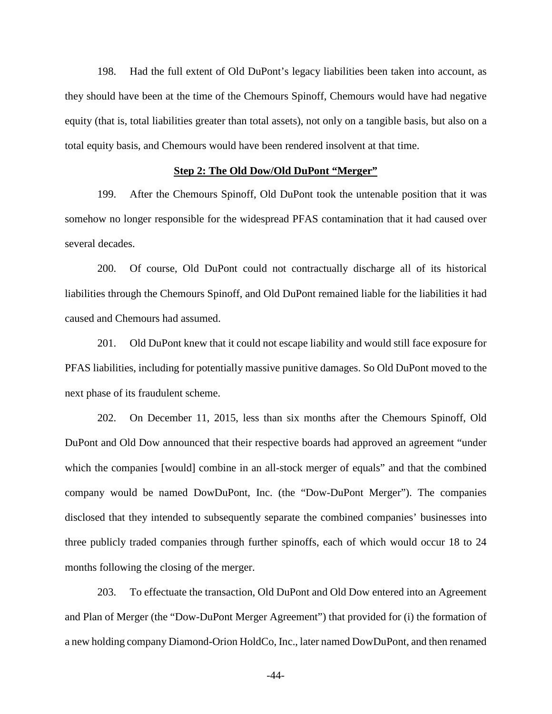198. Had the full extent of Old DuPont's legacy liabilities been taken into account, as they should have been at the time of the Chemours Spinoff, Chemours would have had negative equity (that is, total liabilities greater than total assets), not only on a tangible basis, but also on a total equity basis, and Chemours would have been rendered insolvent at that time.

### **Step 2: The Old Dow/Old DuPont "Merger"**

199. After the Chemours Spinoff, Old DuPont took the untenable position that it was somehow no longer responsible for the widespread PFAS contamination that it had caused over several decades.

200. Of course, Old DuPont could not contractually discharge all of its historical liabilities through the Chemours Spinoff, and Old DuPont remained liable for the liabilities it had caused and Chemours had assumed.

201. Old DuPont knew that it could not escape liability and would still face exposure for PFAS liabilities, including for potentially massive punitive damages. So Old DuPont moved to the next phase of its fraudulent scheme.

202. On December 11, 2015, less than six months after the Chemours Spinoff, Old DuPont and Old Dow announced that their respective boards had approved an agreement "under which the companies [would] combine in an all-stock merger of equals" and that the combined company would be named DowDuPont, Inc. (the "Dow-DuPont Merger"). The companies disclosed that they intended to subsequently separate the combined companies' businesses into three publicly traded companies through further spinoffs, each of which would occur 18 to 24 months following the closing of the merger.

203. To effectuate the transaction, Old DuPont and Old Dow entered into an Agreement and Plan of Merger (the "Dow-DuPont Merger Agreement") that provided for (i) the formation of a new holding company Diamond-Orion HoldCo, Inc., later named DowDuPont, and then renamed

-44-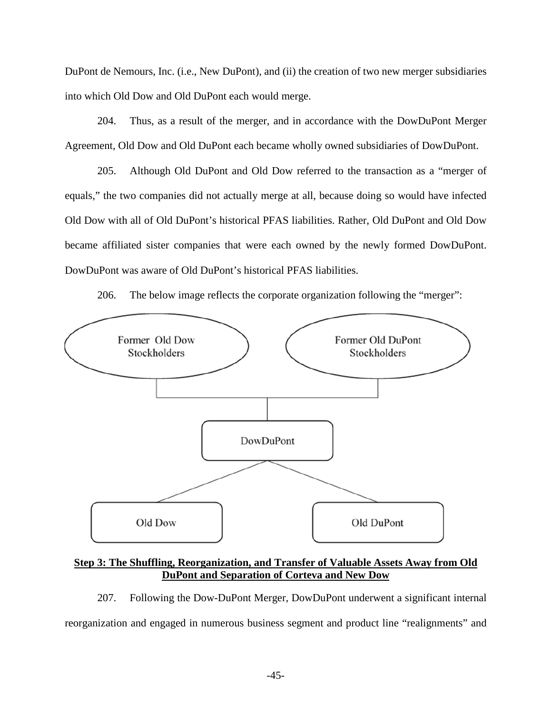DuPont de Nemours, Inc. (i.e., New DuPont), and (ii) the creation of two new merger subsidiaries into which Old Dow and Old DuPont each would merge.

204. Thus, as a result of the merger, and in accordance with the DowDuPont Merger Agreement, Old Dow and Old DuPont each became wholly owned subsidiaries of DowDuPont.

205. Although Old DuPont and Old Dow referred to the transaction as a "merger of equals," the two companies did not actually merge at all, because doing so would have infected Old Dow with all of Old DuPont's historical PFAS liabilities. Rather, Old DuPont and Old Dow became affiliated sister companies that were each owned by the newly formed DowDuPont. DowDuPont was aware of Old DuPont's historical PFAS liabilities.

206. The below image reflects the corporate organization following the "merger":



**Step 3: The Shuffling, Reorganization, and Transfer of Valuable Assets Away from Old DuPont and Separation of Corteva and New Dow** 

207. Following the Dow-DuPont Merger, DowDuPont underwent a significant internal reorganization and engaged in numerous business segment and product line "realignments" and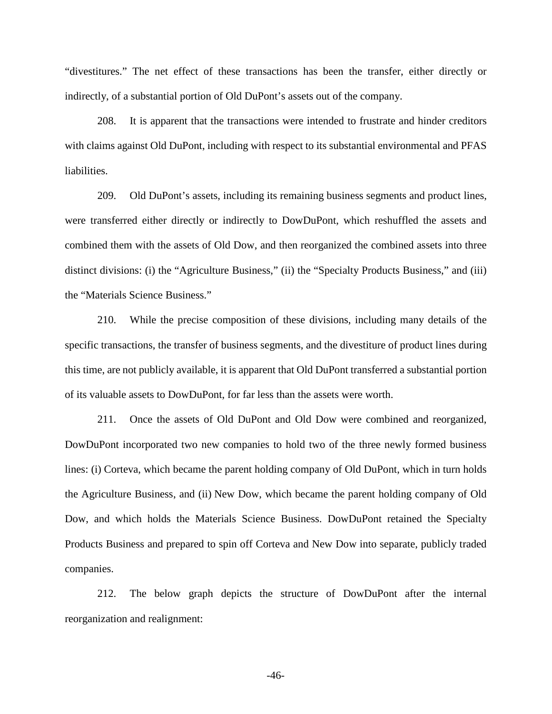"divestitures." The net effect of these transactions has been the transfer, either directly or indirectly, of a substantial portion of Old DuPont's assets out of the company.

208. It is apparent that the transactions were intended to frustrate and hinder creditors with claims against Old DuPont, including with respect to its substantial environmental and PFAS liabilities.

209. Old DuPont's assets, including its remaining business segments and product lines, were transferred either directly or indirectly to DowDuPont, which reshuffled the assets and combined them with the assets of Old Dow, and then reorganized the combined assets into three distinct divisions: (i) the "Agriculture Business," (ii) the "Specialty Products Business," and (iii) the "Materials Science Business."

210. While the precise composition of these divisions, including many details of the specific transactions, the transfer of business segments, and the divestiture of product lines during this time, are not publicly available, it is apparent that Old DuPont transferred a substantial portion of its valuable assets to DowDuPont, for far less than the assets were worth.

211. Once the assets of Old DuPont and Old Dow were combined and reorganized, DowDuPont incorporated two new companies to hold two of the three newly formed business lines: (i) Corteva, which became the parent holding company of Old DuPont, which in turn holds the Agriculture Business, and (ii) New Dow, which became the parent holding company of Old Dow, and which holds the Materials Science Business. DowDuPont retained the Specialty Products Business and prepared to spin off Corteva and New Dow into separate, publicly traded companies.

212. The below graph depicts the structure of DowDuPont after the internal reorganization and realignment:

-46-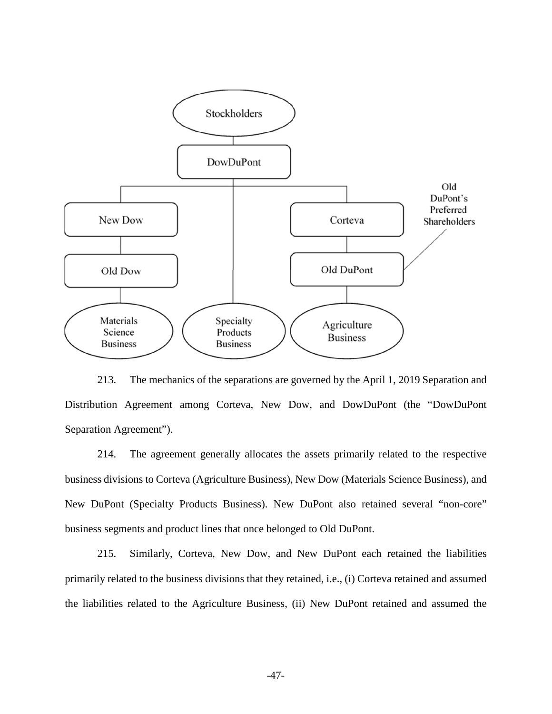

213. The mechanics of the separations are governed by the April 1, 2019 Separation and Distribution Agreement among Corteva, New Dow, and DowDuPont (the "DowDuPont Separation Agreement").

214. The agreement generally allocates the assets primarily related to the respective business divisions to Corteva (Agriculture Business), New Dow (Materials Science Business), and New DuPont (Specialty Products Business). New DuPont also retained several "non-core" business segments and product lines that once belonged to Old DuPont.

215. Similarly, Corteva, New Dow, and New DuPont each retained the liabilities primarily related to the business divisions that they retained, i.e., (i) Corteva retained and assumed the liabilities related to the Agriculture Business, (ii) New DuPont retained and assumed the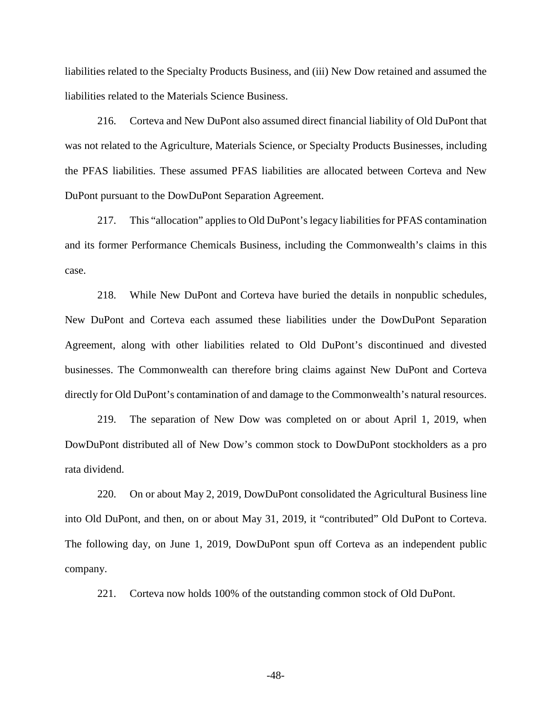liabilities related to the Specialty Products Business, and (iii) New Dow retained and assumed the liabilities related to the Materials Science Business.

216. Corteva and New DuPont also assumed direct financial liability of Old DuPont that was not related to the Agriculture, Materials Science, or Specialty Products Businesses, including the PFAS liabilities. These assumed PFAS liabilities are allocated between Corteva and New DuPont pursuant to the DowDuPont Separation Agreement.

217. This "allocation" applies to Old DuPont's legacy liabilities for PFAS contamination and its former Performance Chemicals Business, including the Commonwealth's claims in this case.

218. While New DuPont and Corteva have buried the details in nonpublic schedules, New DuPont and Corteva each assumed these liabilities under the DowDuPont Separation Agreement, along with other liabilities related to Old DuPont's discontinued and divested businesses. The Commonwealth can therefore bring claims against New DuPont and Corteva directly for Old DuPont's contamination of and damage to the Commonwealth's natural resources.

219. The separation of New Dow was completed on or about April 1, 2019, when DowDuPont distributed all of New Dow's common stock to DowDuPont stockholders as a pro rata dividend.

220. On or about May 2, 2019, DowDuPont consolidated the Agricultural Business line into Old DuPont, and then, on or about May 31, 2019, it "contributed" Old DuPont to Corteva. The following day, on June 1, 2019, DowDuPont spun off Corteva as an independent public company.

221. Corteva now holds 100% of the outstanding common stock of Old DuPont.

-48-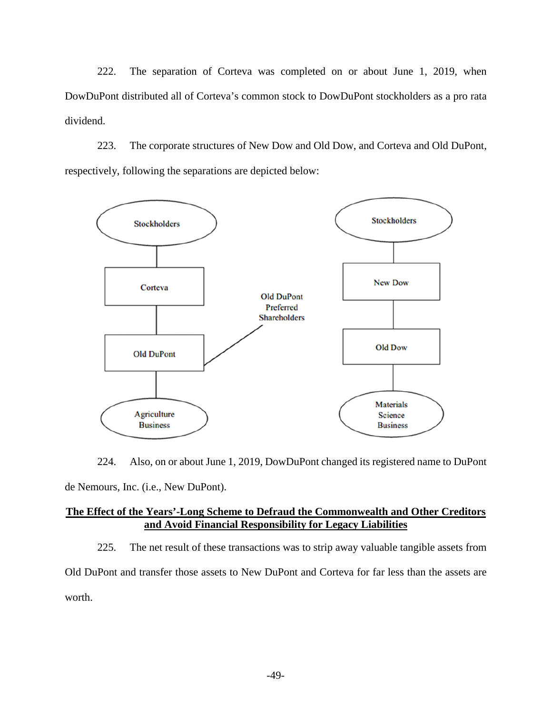222. The separation of Corteva was completed on or about June 1, 2019, when DowDuPont distributed all of Corteva's common stock to DowDuPont stockholders as a pro rata dividend.

223. The corporate structures of New Dow and Old Dow, and Corteva and Old DuPont, respectively, following the separations are depicted below:



224. Also, on or about June 1, 2019, DowDuPont changed its registered name to DuPont de Nemours, Inc. (i.e., New DuPont).

## **The Effect of the Years'-Long Scheme to Defraud the Commonwealth and Other Creditors and Avoid Financial Responsibility for Legacy Liabilities**

225. The net result of these transactions was to strip away valuable tangible assets from Old DuPont and transfer those assets to New DuPont and Corteva for far less than the assets are worth.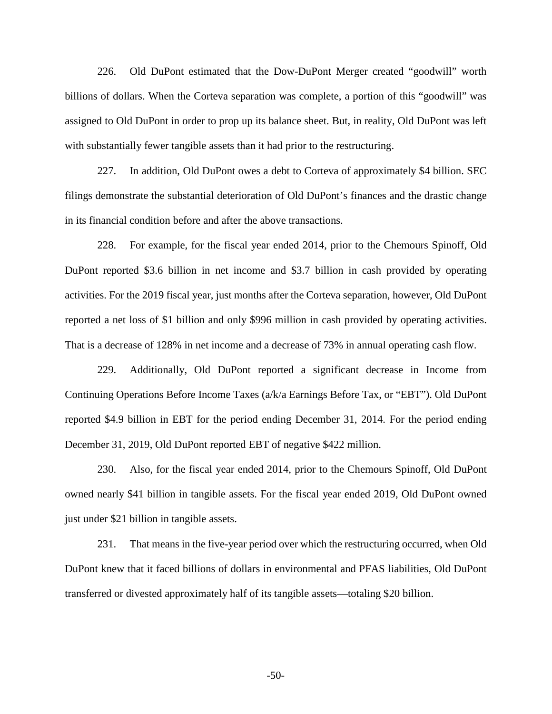226. Old DuPont estimated that the Dow-DuPont Merger created "goodwill" worth billions of dollars. When the Corteva separation was complete, a portion of this "goodwill" was assigned to Old DuPont in order to prop up its balance sheet. But, in reality, Old DuPont was left with substantially fewer tangible assets than it had prior to the restructuring.

227. In addition, Old DuPont owes a debt to Corteva of approximately \$4 billion. SEC filings demonstrate the substantial deterioration of Old DuPont's finances and the drastic change in its financial condition before and after the above transactions.

228. For example, for the fiscal year ended 2014, prior to the Chemours Spinoff, Old DuPont reported \$3.6 billion in net income and \$3.7 billion in cash provided by operating activities. For the 2019 fiscal year, just months after the Corteva separation, however, Old DuPont reported a net loss of \$1 billion and only \$996 million in cash provided by operating activities. That is a decrease of 128% in net income and a decrease of 73% in annual operating cash flow.

229. Additionally, Old DuPont reported a significant decrease in Income from Continuing Operations Before Income Taxes (a/k/a Earnings Before Tax, or "EBT"). Old DuPont reported \$4.9 billion in EBT for the period ending December 31, 2014. For the period ending December 31, 2019, Old DuPont reported EBT of negative \$422 million.

230. Also, for the fiscal year ended 2014, prior to the Chemours Spinoff, Old DuPont owned nearly \$41 billion in tangible assets. For the fiscal year ended 2019, Old DuPont owned just under \$21 billion in tangible assets.

231. That means in the five-year period over which the restructuring occurred, when Old DuPont knew that it faced billions of dollars in environmental and PFAS liabilities, Old DuPont transferred or divested approximately half of its tangible assets—totaling \$20 billion.

-50-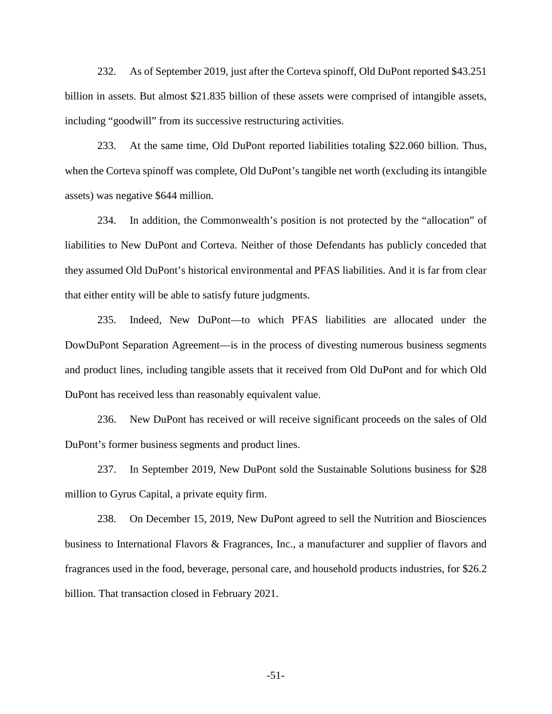232. As of September 2019, just after the Corteva spinoff, Old DuPont reported \$43.251 billion in assets. But almost \$21.835 billion of these assets were comprised of intangible assets, including "goodwill" from its successive restructuring activities.

233. At the same time, Old DuPont reported liabilities totaling \$22.060 billion. Thus, when the Corteva spinoff was complete, Old DuPont's tangible net worth (excluding its intangible assets) was negative \$644 million.

234. In addition, the Commonwealth's position is not protected by the "allocation" of liabilities to New DuPont and Corteva. Neither of those Defendants has publicly conceded that they assumed Old DuPont's historical environmental and PFAS liabilities. And it is far from clear that either entity will be able to satisfy future judgments.

235. Indeed, New DuPont—to which PFAS liabilities are allocated under the DowDuPont Separation Agreement—is in the process of divesting numerous business segments and product lines, including tangible assets that it received from Old DuPont and for which Old DuPont has received less than reasonably equivalent value.

236. New DuPont has received or will receive significant proceeds on the sales of Old DuPont's former business segments and product lines.

237. In September 2019, New DuPont sold the Sustainable Solutions business for \$28 million to Gyrus Capital, a private equity firm.

238. On December 15, 2019, New DuPont agreed to sell the Nutrition and Biosciences business to International Flavors & Fragrances, Inc., a manufacturer and supplier of flavors and fragrances used in the food, beverage, personal care, and household products industries, for \$26.2 billion. That transaction closed in February 2021.

-51-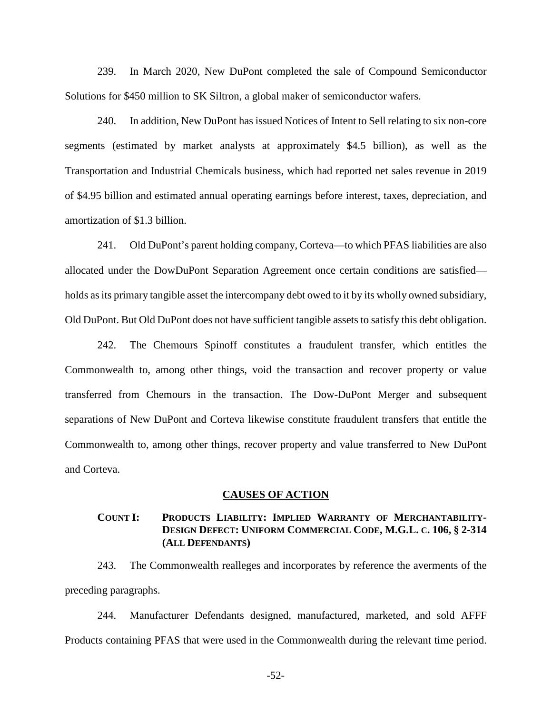239. In March 2020, New DuPont completed the sale of Compound Semiconductor Solutions for \$450 million to SK Siltron, a global maker of semiconductor wafers.

240. In addition, New DuPont has issued Notices of Intent to Sell relating to six non-core segments (estimated by market analysts at approximately \$4.5 billion), as well as the Transportation and Industrial Chemicals business, which had reported net sales revenue in 2019 of \$4.95 billion and estimated annual operating earnings before interest, taxes, depreciation, and amortization of \$1.3 billion.

241. Old DuPont's parent holding company, Corteva—to which PFAS liabilities are also allocated under the DowDuPont Separation Agreement once certain conditions are satisfied holds as its primary tangible asset the intercompany debt owed to it by its wholly owned subsidiary, Old DuPont. But Old DuPont does not have sufficient tangible assets to satisfy this debt obligation.

242. The Chemours Spinoff constitutes a fraudulent transfer, which entitles the Commonwealth to, among other things, void the transaction and recover property or value transferred from Chemours in the transaction. The Dow-DuPont Merger and subsequent separations of New DuPont and Corteva likewise constitute fraudulent transfers that entitle the Commonwealth to, among other things, recover property and value transferred to New DuPont and Corteva.

### **CAUSES OF ACTION**

# **COUNT I: PRODUCTS LIABILITY: IMPLIED WARRANTY OF MERCHANTABILITY-DESIGN DEFECT: UNIFORM COMMERCIAL CODE, M.G.L. C. 106, § 2-314 (ALL DEFENDANTS)**

243. The Commonwealth realleges and incorporates by reference the averments of the preceding paragraphs.

244. Manufacturer Defendants designed, manufactured, marketed, and sold AFFF Products containing PFAS that were used in the Commonwealth during the relevant time period.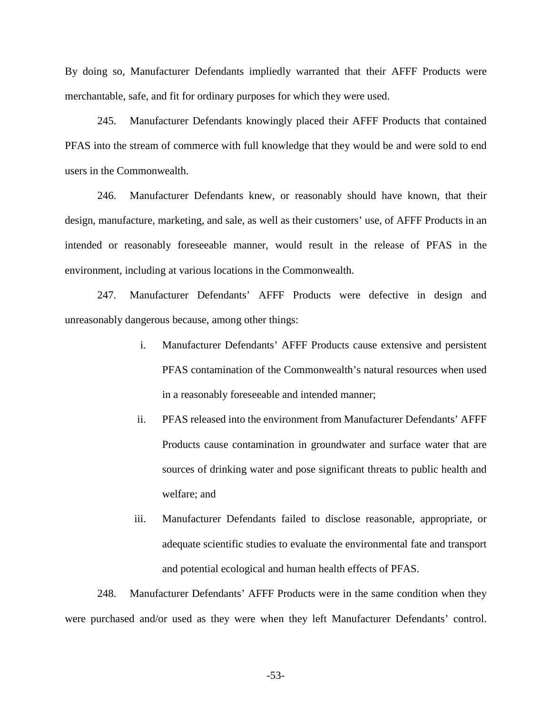By doing so, Manufacturer Defendants impliedly warranted that their AFFF Products were merchantable, safe, and fit for ordinary purposes for which they were used.

245. Manufacturer Defendants knowingly placed their AFFF Products that contained PFAS into the stream of commerce with full knowledge that they would be and were sold to end users in the Commonwealth.

246. Manufacturer Defendants knew, or reasonably should have known, that their design, manufacture, marketing, and sale, as well as their customers' use, of AFFF Products in an intended or reasonably foreseeable manner, would result in the release of PFAS in the environment, including at various locations in the Commonwealth.

247. Manufacturer Defendants' AFFF Products were defective in design and unreasonably dangerous because, among other things:

- i. Manufacturer Defendants' AFFF Products cause extensive and persistent PFAS contamination of the Commonwealth's natural resources when used in a reasonably foreseeable and intended manner;
- ii. PFAS released into the environment from Manufacturer Defendants' AFFF Products cause contamination in groundwater and surface water that are sources of drinking water and pose significant threats to public health and welfare; and
- iii. Manufacturer Defendants failed to disclose reasonable, appropriate, or adequate scientific studies to evaluate the environmental fate and transport and potential ecological and human health effects of PFAS.

248. Manufacturer Defendants' AFFF Products were in the same condition when they were purchased and/or used as they were when they left Manufacturer Defendants' control.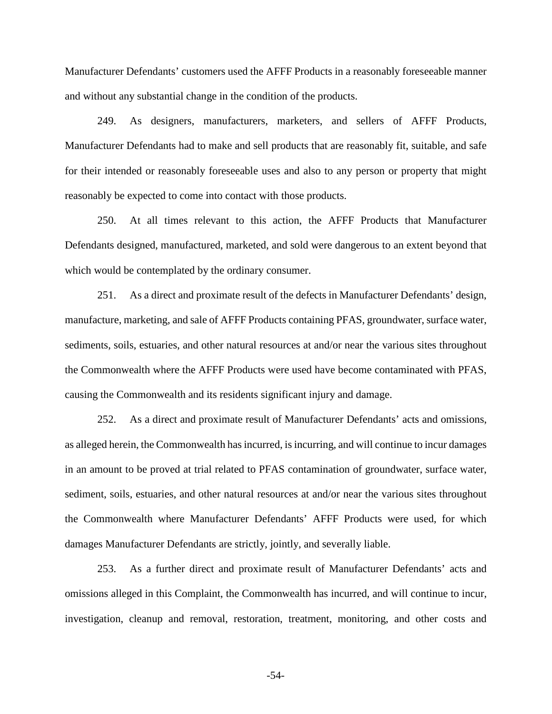Manufacturer Defendants' customers used the AFFF Products in a reasonably foreseeable manner and without any substantial change in the condition of the products.

249. As designers, manufacturers, marketers, and sellers of AFFF Products, Manufacturer Defendants had to make and sell products that are reasonably fit, suitable, and safe for their intended or reasonably foreseeable uses and also to any person or property that might reasonably be expected to come into contact with those products.

250. At all times relevant to this action, the AFFF Products that Manufacturer Defendants designed, manufactured, marketed, and sold were dangerous to an extent beyond that which would be contemplated by the ordinary consumer.

251. As a direct and proximate result of the defects in Manufacturer Defendants' design, manufacture, marketing, and sale of AFFF Products containing PFAS, groundwater, surface water, sediments, soils, estuaries, and other natural resources at and/or near the various sites throughout the Commonwealth where the AFFF Products were used have become contaminated with PFAS, causing the Commonwealth and its residents significant injury and damage.

252. As a direct and proximate result of Manufacturer Defendants' acts and omissions, as alleged herein, the Commonwealth has incurred, is incurring, and will continue to incur damages in an amount to be proved at trial related to PFAS contamination of groundwater, surface water, sediment, soils, estuaries, and other natural resources at and/or near the various sites throughout the Commonwealth where Manufacturer Defendants' AFFF Products were used, for which damages Manufacturer Defendants are strictly, jointly, and severally liable.

253. As a further direct and proximate result of Manufacturer Defendants' acts and omissions alleged in this Complaint, the Commonwealth has incurred, and will continue to incur, investigation, cleanup and removal, restoration, treatment, monitoring, and other costs and

-54-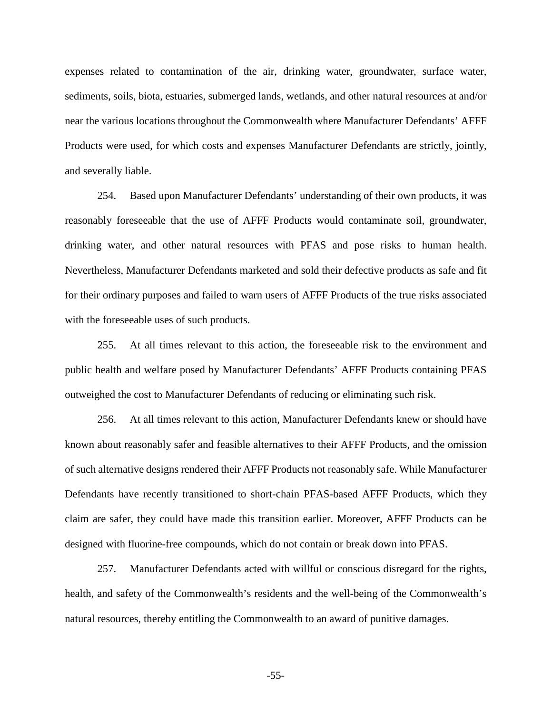expenses related to contamination of the air, drinking water, groundwater, surface water, sediments, soils, biota, estuaries, submerged lands, wetlands, and other natural resources at and/or near the various locations throughout the Commonwealth where Manufacturer Defendants' AFFF Products were used, for which costs and expenses Manufacturer Defendants are strictly, jointly, and severally liable.

254. Based upon Manufacturer Defendants' understanding of their own products, it was reasonably foreseeable that the use of AFFF Products would contaminate soil, groundwater, drinking water, and other natural resources with PFAS and pose risks to human health. Nevertheless, Manufacturer Defendants marketed and sold their defective products as safe and fit for their ordinary purposes and failed to warn users of AFFF Products of the true risks associated with the foreseeable uses of such products.

255. At all times relevant to this action, the foreseeable risk to the environment and public health and welfare posed by Manufacturer Defendants' AFFF Products containing PFAS outweighed the cost to Manufacturer Defendants of reducing or eliminating such risk.

256. At all times relevant to this action, Manufacturer Defendants knew or should have known about reasonably safer and feasible alternatives to their AFFF Products, and the omission of such alternative designs rendered their AFFF Products not reasonably safe. While Manufacturer Defendants have recently transitioned to short-chain PFAS-based AFFF Products, which they claim are safer, they could have made this transition earlier. Moreover, AFFF Products can be designed with fluorine-free compounds, which do not contain or break down into PFAS.

257. Manufacturer Defendants acted with willful or conscious disregard for the rights, health, and safety of the Commonwealth's residents and the well-being of the Commonwealth's natural resources, thereby entitling the Commonwealth to an award of punitive damages.

-55-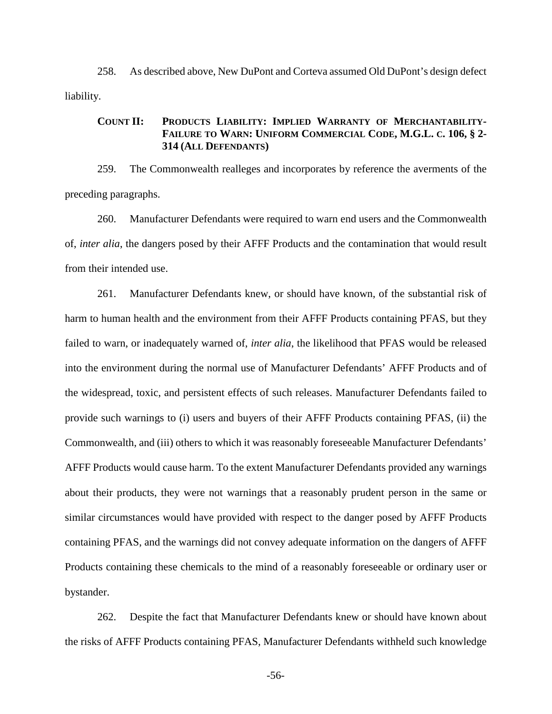258. As described above, New DuPont and Corteva assumed Old DuPont's design defect liability.

# **COUNT II: PRODUCTS LIABILITY: IMPLIED WARRANTY OF MERCHANTABILITY-FAILURE TO WARN: UNIFORM COMMERCIAL CODE, M.G.L. C. 106, § 2- 314 (ALL DEFENDANTS)**

259. The Commonwealth realleges and incorporates by reference the averments of the preceding paragraphs.

260. Manufacturer Defendants were required to warn end users and the Commonwealth of, *inter alia*, the dangers posed by their AFFF Products and the contamination that would result from their intended use.

261. Manufacturer Defendants knew, or should have known, of the substantial risk of harm to human health and the environment from their AFFF Products containing PFAS, but they failed to warn, or inadequately warned of, *inter alia*, the likelihood that PFAS would be released into the environment during the normal use of Manufacturer Defendants' AFFF Products and of the widespread, toxic, and persistent effects of such releases. Manufacturer Defendants failed to provide such warnings to (i) users and buyers of their AFFF Products containing PFAS, (ii) the Commonwealth, and (iii) others to which it was reasonably foreseeable Manufacturer Defendants' AFFF Products would cause harm. To the extent Manufacturer Defendants provided any warnings about their products, they were not warnings that a reasonably prudent person in the same or similar circumstances would have provided with respect to the danger posed by AFFF Products containing PFAS, and the warnings did not convey adequate information on the dangers of AFFF Products containing these chemicals to the mind of a reasonably foreseeable or ordinary user or bystander.

262. Despite the fact that Manufacturer Defendants knew or should have known about the risks of AFFF Products containing PFAS, Manufacturer Defendants withheld such knowledge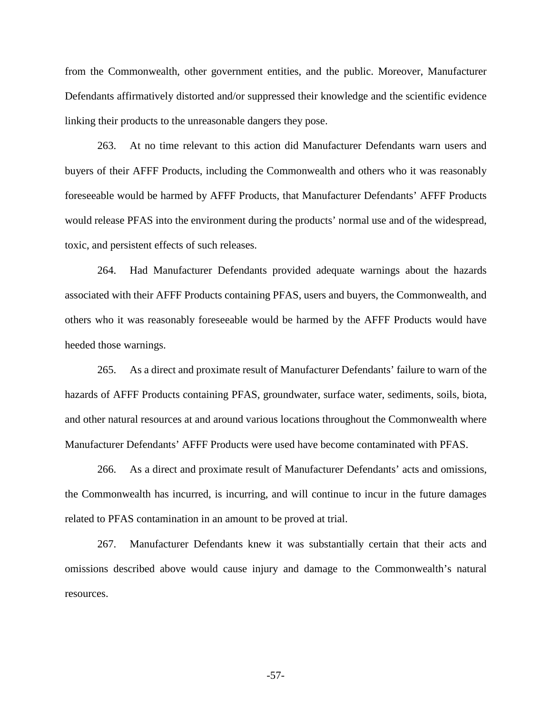from the Commonwealth, other government entities, and the public. Moreover, Manufacturer Defendants affirmatively distorted and/or suppressed their knowledge and the scientific evidence linking their products to the unreasonable dangers they pose.

263. At no time relevant to this action did Manufacturer Defendants warn users and buyers of their AFFF Products, including the Commonwealth and others who it was reasonably foreseeable would be harmed by AFFF Products, that Manufacturer Defendants' AFFF Products would release PFAS into the environment during the products' normal use and of the widespread, toxic, and persistent effects of such releases.

264. Had Manufacturer Defendants provided adequate warnings about the hazards associated with their AFFF Products containing PFAS, users and buyers, the Commonwealth, and others who it was reasonably foreseeable would be harmed by the AFFF Products would have heeded those warnings.

265. As a direct and proximate result of Manufacturer Defendants' failure to warn of the hazards of AFFF Products containing PFAS, groundwater, surface water, sediments, soils, biota, and other natural resources at and around various locations throughout the Commonwealth where Manufacturer Defendants' AFFF Products were used have become contaminated with PFAS.

266. As a direct and proximate result of Manufacturer Defendants' acts and omissions, the Commonwealth has incurred, is incurring, and will continue to incur in the future damages related to PFAS contamination in an amount to be proved at trial.

267. Manufacturer Defendants knew it was substantially certain that their acts and omissions described above would cause injury and damage to the Commonwealth's natural resources.

-57-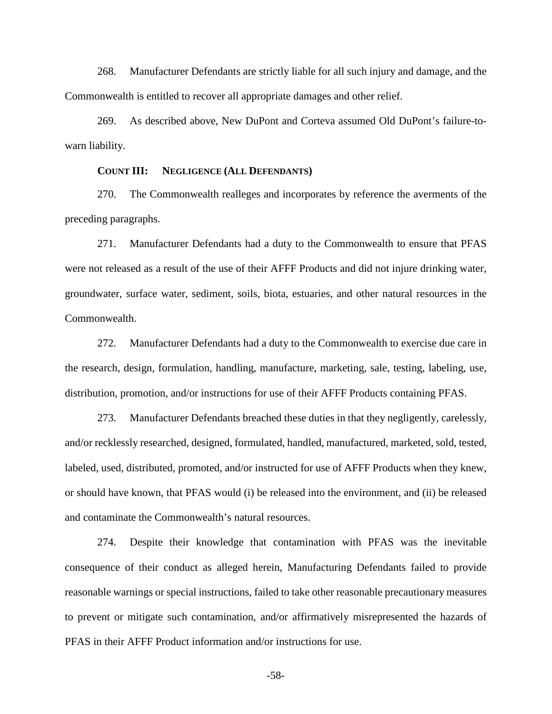268. Manufacturer Defendants are strictly liable for all such injury and damage, and the Commonwealth is entitled to recover all appropriate damages and other relief.

269. As described above, New DuPont and Corteva assumed Old DuPont's failure-towarn liability.

### **COUNT III: NEGLIGENCE (ALL DEFENDANTS)**

270. The Commonwealth realleges and incorporates by reference the averments of the preceding paragraphs.

271. Manufacturer Defendants had a duty to the Commonwealth to ensure that PFAS were not released as a result of the use of their AFFF Products and did not injure drinking water, groundwater, surface water, sediment, soils, biota, estuaries, and other natural resources in the Commonwealth.

272. Manufacturer Defendants had a duty to the Commonwealth to exercise due care in the research, design, formulation, handling, manufacture, marketing, sale, testing, labeling, use, distribution, promotion, and/or instructions for use of their AFFF Products containing PFAS.

273. Manufacturer Defendants breached these duties in that they negligently, carelessly, and/or recklessly researched, designed, formulated, handled, manufactured, marketed, sold, tested, labeled, used, distributed, promoted, and/or instructed for use of AFFF Products when they knew, or should have known, that PFAS would (i) be released into the environment, and (ii) be released and contaminate the Commonwealth's natural resources.

274. Despite their knowledge that contamination with PFAS was the inevitable consequence of their conduct as alleged herein, Manufacturing Defendants failed to provide reasonable warnings or special instructions, failed to take other reasonable precautionary measures to prevent or mitigate such contamination, and/or affirmatively misrepresented the hazards of PFAS in their AFFF Product information and/or instructions for use.

-58-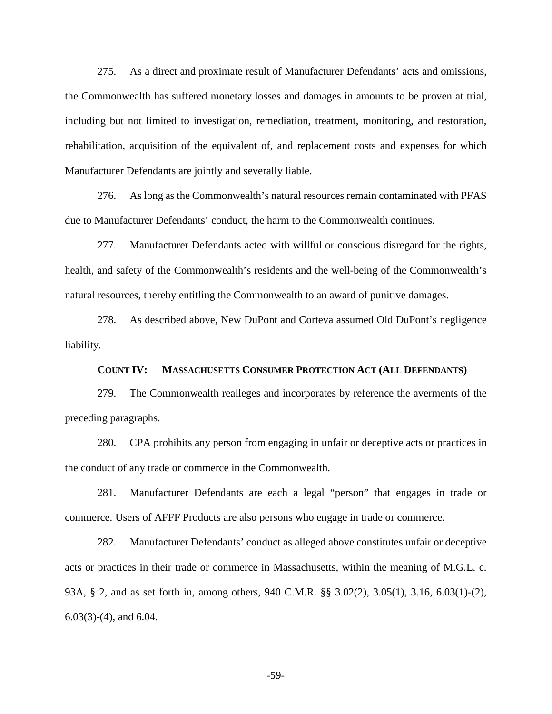275. As a direct and proximate result of Manufacturer Defendants' acts and omissions, the Commonwealth has suffered monetary losses and damages in amounts to be proven at trial, including but not limited to investigation, remediation, treatment, monitoring, and restoration, rehabilitation, acquisition of the equivalent of, and replacement costs and expenses for which Manufacturer Defendants are jointly and severally liable.

276. As long as the Commonwealth's natural resources remain contaminated with PFAS due to Manufacturer Defendants' conduct, the harm to the Commonwealth continues.

277. Manufacturer Defendants acted with willful or conscious disregard for the rights, health, and safety of the Commonwealth's residents and the well-being of the Commonwealth's natural resources, thereby entitling the Commonwealth to an award of punitive damages.

278. As described above, New DuPont and Corteva assumed Old DuPont's negligence liability.

### **COUNT IV: MASSACHUSETTS CONSUMER PROTECTION ACT (ALL DEFENDANTS)**

279. The Commonwealth realleges and incorporates by reference the averments of the preceding paragraphs.

280. CPA prohibits any person from engaging in unfair or deceptive acts or practices in the conduct of any trade or commerce in the Commonwealth.

281. Manufacturer Defendants are each a legal "person" that engages in trade or commerce. Users of AFFF Products are also persons who engage in trade or commerce.

282. Manufacturer Defendants' conduct as alleged above constitutes unfair or deceptive acts or practices in their trade or commerce in Massachusetts, within the meaning of M.G.L. c. 93A, § 2, and as set forth in, among others, 940 C.M.R. §§ 3.02(2), 3.05(1), 3.16, 6.03(1)-(2), 6.03(3)-(4), and 6.04.

-59-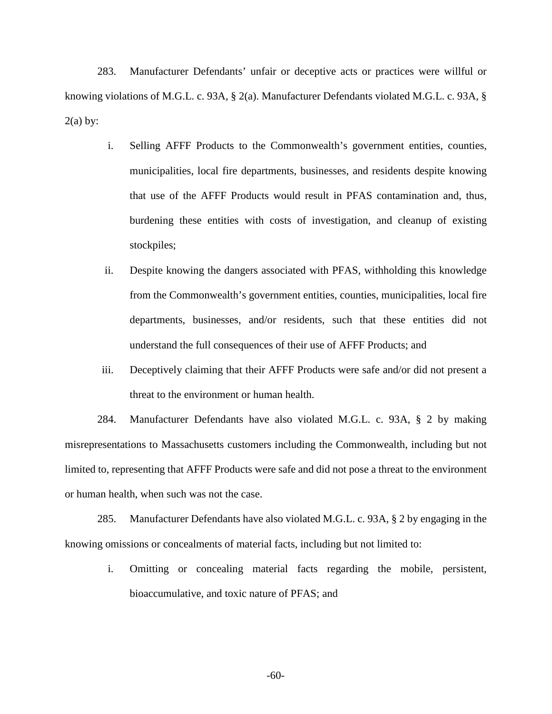283. Manufacturer Defendants' unfair or deceptive acts or practices were willful or knowing violations of M.G.L. c. 93A, § 2(a). Manufacturer Defendants violated M.G.L. c. 93A, §  $2(a)$  by:

- i. Selling AFFF Products to the Commonwealth's government entities, counties, municipalities, local fire departments, businesses, and residents despite knowing that use of the AFFF Products would result in PFAS contamination and, thus, burdening these entities with costs of investigation, and cleanup of existing stockpiles;
- ii. Despite knowing the dangers associated with PFAS, withholding this knowledge from the Commonwealth's government entities, counties, municipalities, local fire departments, businesses, and/or residents, such that these entities did not understand the full consequences of their use of AFFF Products; and
- iii. Deceptively claiming that their AFFF Products were safe and/or did not present a threat to the environment or human health.

284. Manufacturer Defendants have also violated M.G.L. c. 93A, § 2 by making misrepresentations to Massachusetts customers including the Commonwealth, including but not limited to, representing that AFFF Products were safe and did not pose a threat to the environment or human health, when such was not the case.

285. Manufacturer Defendants have also violated M.G.L. c. 93A, § 2 by engaging in the knowing omissions or concealments of material facts, including but not limited to:

i. Omitting or concealing material facts regarding the mobile, persistent, bioaccumulative, and toxic nature of PFAS; and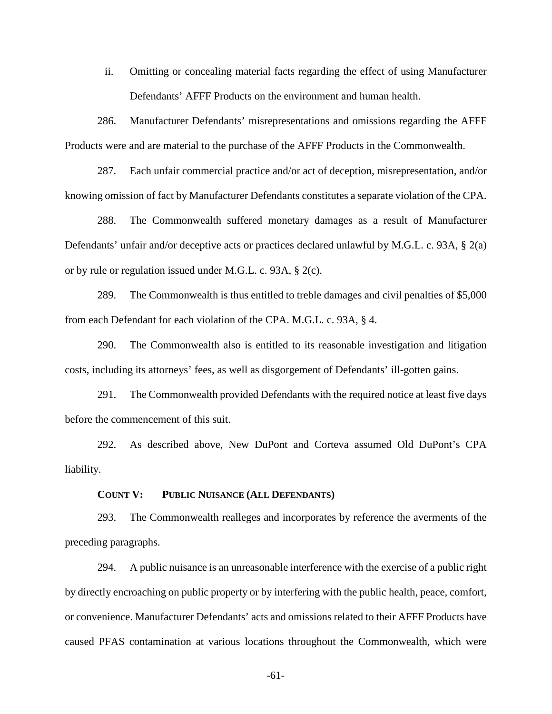ii. Omitting or concealing material facts regarding the effect of using Manufacturer Defendants' AFFF Products on the environment and human health.

286. Manufacturer Defendants' misrepresentations and omissions regarding the AFFF Products were and are material to the purchase of the AFFF Products in the Commonwealth.

287. Each unfair commercial practice and/or act of deception, misrepresentation, and/or knowing omission of fact by Manufacturer Defendants constitutes a separate violation of the CPA.

288. The Commonwealth suffered monetary damages as a result of Manufacturer Defendants' unfair and/or deceptive acts or practices declared unlawful by M.G.L. c. 93A, § 2(a) or by rule or regulation issued under M.G.L. c. 93A, § 2(c).

289. The Commonwealth is thus entitled to treble damages and civil penalties of \$5,000 from each Defendant for each violation of the CPA. M.G.L. c. 93A, § 4.

290. The Commonwealth also is entitled to its reasonable investigation and litigation costs, including its attorneys' fees, as well as disgorgement of Defendants' ill-gotten gains.

291. The Commonwealth provided Defendants with the required notice at least five days before the commencement of this suit.

292. As described above, New DuPont and Corteva assumed Old DuPont's CPA liability.

**COUNT V: PUBLIC NUISANCE (ALL DEFENDANTS)** 

293. The Commonwealth realleges and incorporates by reference the averments of the preceding paragraphs.

294. A public nuisance is an unreasonable interference with the exercise of a public right by directly encroaching on public property or by interfering with the public health, peace, comfort, or convenience. Manufacturer Defendants' acts and omissions related to their AFFF Products have caused PFAS contamination at various locations throughout the Commonwealth, which were

-61-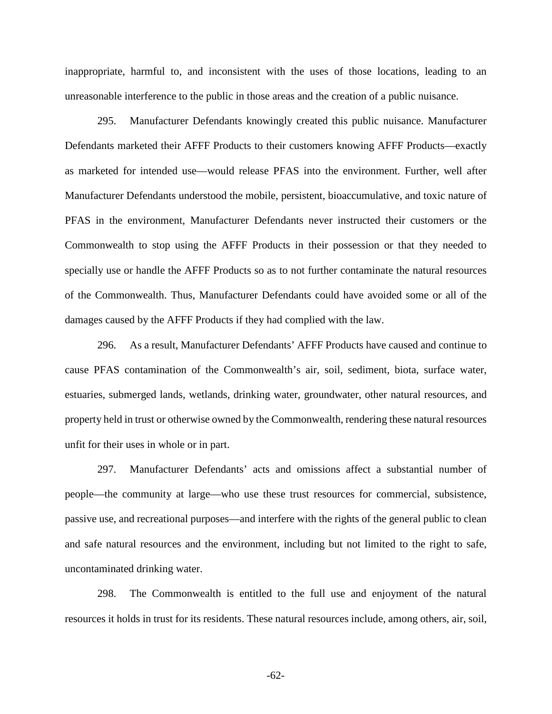inappropriate, harmful to, and inconsistent with the uses of those locations, leading to an unreasonable interference to the public in those areas and the creation of a public nuisance.

295. Manufacturer Defendants knowingly created this public nuisance. Manufacturer Defendants marketed their AFFF Products to their customers knowing AFFF Products—exactly as marketed for intended use—would release PFAS into the environment. Further, well after Manufacturer Defendants understood the mobile, persistent, bioaccumulative, and toxic nature of PFAS in the environment, Manufacturer Defendants never instructed their customers or the Commonwealth to stop using the AFFF Products in their possession or that they needed to specially use or handle the AFFF Products so as to not further contaminate the natural resources of the Commonwealth. Thus, Manufacturer Defendants could have avoided some or all of the damages caused by the AFFF Products if they had complied with the law.

296. As a result, Manufacturer Defendants' AFFF Products have caused and continue to cause PFAS contamination of the Commonwealth's air, soil, sediment, biota, surface water, estuaries, submerged lands, wetlands, drinking water, groundwater, other natural resources, and property held in trust or otherwise owned by the Commonwealth, rendering these natural resources unfit for their uses in whole or in part.

297. Manufacturer Defendants' acts and omissions affect a substantial number of people—the community at large—who use these trust resources for commercial, subsistence, passive use, and recreational purposes—and interfere with the rights of the general public to clean and safe natural resources and the environment, including but not limited to the right to safe, uncontaminated drinking water.

298. The Commonwealth is entitled to the full use and enjoyment of the natural resources it holds in trust for its residents. These natural resources include, among others, air, soil,

-62-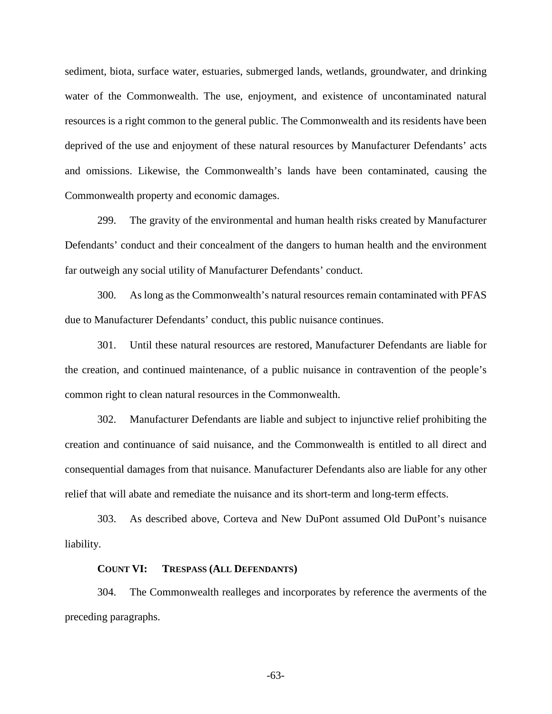sediment, biota, surface water, estuaries, submerged lands, wetlands, groundwater, and drinking water of the Commonwealth. The use, enjoyment, and existence of uncontaminated natural resources is a right common to the general public. The Commonwealth and its residents have been deprived of the use and enjoyment of these natural resources by Manufacturer Defendants' acts and omissions. Likewise, the Commonwealth's lands have been contaminated, causing the Commonwealth property and economic damages.

299. The gravity of the environmental and human health risks created by Manufacturer Defendants' conduct and their concealment of the dangers to human health and the environment far outweigh any social utility of Manufacturer Defendants' conduct.

300. As long as the Commonwealth's natural resources remain contaminated with PFAS due to Manufacturer Defendants' conduct, this public nuisance continues.

301. Until these natural resources are restored, Manufacturer Defendants are liable for the creation, and continued maintenance, of a public nuisance in contravention of the people's common right to clean natural resources in the Commonwealth.

302. Manufacturer Defendants are liable and subject to injunctive relief prohibiting the creation and continuance of said nuisance, and the Commonwealth is entitled to all direct and consequential damages from that nuisance. Manufacturer Defendants also are liable for any other relief that will abate and remediate the nuisance and its short-term and long-term effects.

303. As described above, Corteva and New DuPont assumed Old DuPont's nuisance liability.

#### **COUNT VI: TRESPASS (ALL DEFENDANTS)**

304. The Commonwealth realleges and incorporates by reference the averments of the preceding paragraphs.

-63-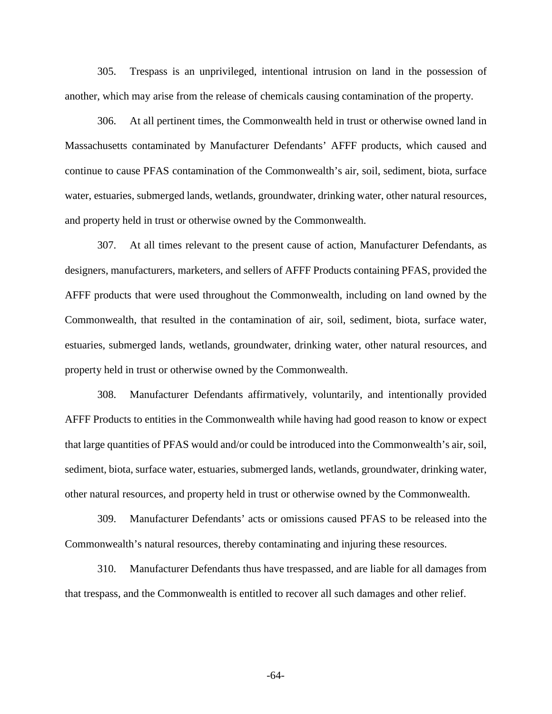305. Trespass is an unprivileged, intentional intrusion on land in the possession of another, which may arise from the release of chemicals causing contamination of the property.

306. At all pertinent times, the Commonwealth held in trust or otherwise owned land in Massachusetts contaminated by Manufacturer Defendants' AFFF products, which caused and continue to cause PFAS contamination of the Commonwealth's air, soil, sediment, biota, surface water, estuaries, submerged lands, wetlands, groundwater, drinking water, other natural resources, and property held in trust or otherwise owned by the Commonwealth.

307. At all times relevant to the present cause of action, Manufacturer Defendants, as designers, manufacturers, marketers, and sellers of AFFF Products containing PFAS, provided the AFFF products that were used throughout the Commonwealth, including on land owned by the Commonwealth, that resulted in the contamination of air, soil, sediment, biota, surface water, estuaries, submerged lands, wetlands, groundwater, drinking water, other natural resources, and property held in trust or otherwise owned by the Commonwealth.

308. Manufacturer Defendants affirmatively, voluntarily, and intentionally provided AFFF Products to entities in the Commonwealth while having had good reason to know or expect that large quantities of PFAS would and/or could be introduced into the Commonwealth's air, soil, sediment, biota, surface water, estuaries, submerged lands, wetlands, groundwater, drinking water, other natural resources, and property held in trust or otherwise owned by the Commonwealth.

309. Manufacturer Defendants' acts or omissions caused PFAS to be released into the Commonwealth's natural resources, thereby contaminating and injuring these resources.

310. Manufacturer Defendants thus have trespassed, and are liable for all damages from that trespass, and the Commonwealth is entitled to recover all such damages and other relief.

-64-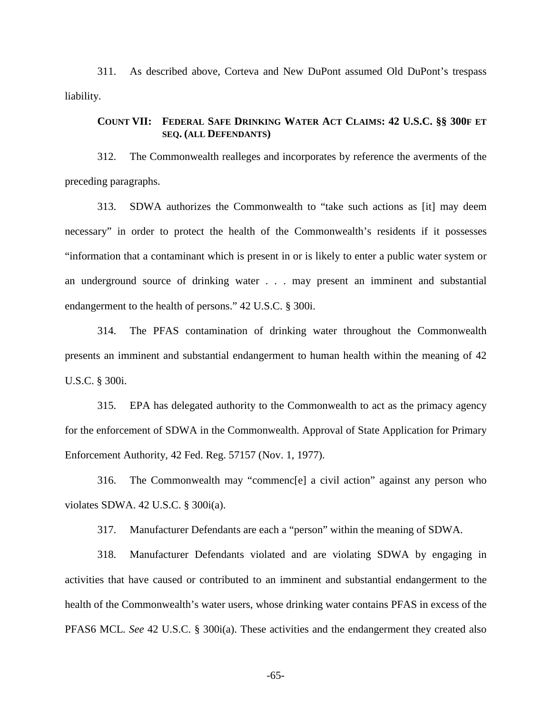311. As described above, Corteva and New DuPont assumed Old DuPont's trespass liability.

## **COUNT VII: FEDERAL SAFE DRINKING WATER ACT CLAIMS: 42 U.S.C. §§ 300F ET SEQ. (ALL DEFENDANTS)**

312. The Commonwealth realleges and incorporates by reference the averments of the preceding paragraphs.

313. SDWA authorizes the Commonwealth to "take such actions as [it] may deem necessary" in order to protect the health of the Commonwealth's residents if it possesses "information that a contaminant which is present in or is likely to enter a public water system or an underground source of drinking water . . . may present an imminent and substantial endangerment to the health of persons." 42 U.S.C. § 300i.

314. The PFAS contamination of drinking water throughout the Commonwealth presents an imminent and substantial endangerment to human health within the meaning of 42 U.S.C. § 300i.

315. EPA has delegated authority to the Commonwealth to act as the primacy agency for the enforcement of SDWA in the Commonwealth. Approval of State Application for Primary Enforcement Authority, 42 Fed. Reg. 57157 (Nov. 1, 1977).

316. The Commonwealth may "commenc[e] a civil action" against any person who violates SDWA. 42 U.S.C. § 300i(a).

317. Manufacturer Defendants are each a "person" within the meaning of SDWA.

318. Manufacturer Defendants violated and are violating SDWA by engaging in activities that have caused or contributed to an imminent and substantial endangerment to the health of the Commonwealth's water users, whose drinking water contains PFAS in excess of the PFAS6 MCL. *See* 42 U.S.C. § 300i(a). These activities and the endangerment they created also

-65-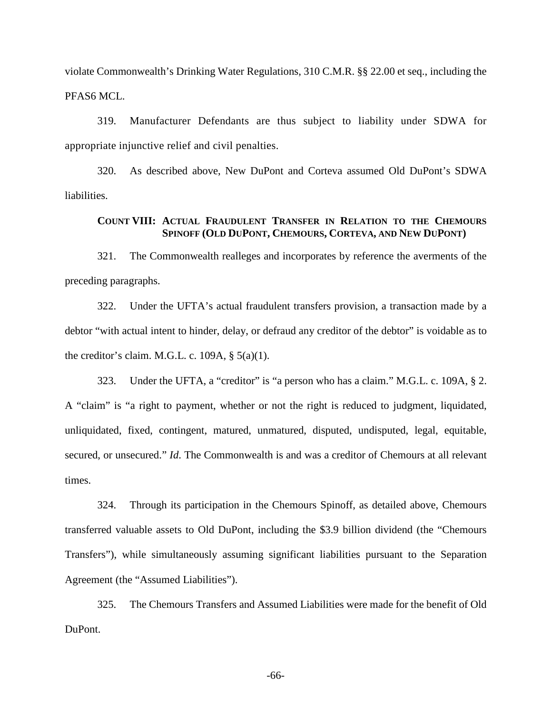violate Commonwealth's Drinking Water Regulations, 310 C.M.R. §§ 22.00 et seq., including the PFAS6 MCL.

319. Manufacturer Defendants are thus subject to liability under SDWA for appropriate injunctive relief and civil penalties.

320. As described above, New DuPont and Corteva assumed Old DuPont's SDWA liabilities.

### **COUNT VIII: ACTUAL FRAUDULENT TRANSFER IN RELATION TO THE CHEMOURS SPINOFF (OLD DUPONT, CHEMOURS, CORTEVA, AND NEW DUPONT)**

321. The Commonwealth realleges and incorporates by reference the averments of the preceding paragraphs.

322. Under the UFTA's actual fraudulent transfers provision, a transaction made by a debtor "with actual intent to hinder, delay, or defraud any creditor of the debtor" is voidable as to the creditor's claim. M.G.L. c. 109A,  $\S$  5(a)(1).

323. Under the UFTA, a "creditor" is "a person who has a claim." M.G.L. c. 109A, § 2. A "claim" is "a right to payment, whether or not the right is reduced to judgment, liquidated, unliquidated, fixed, contingent, matured, unmatured, disputed, undisputed, legal, equitable, secured, or unsecured." *Id*. The Commonwealth is and was a creditor of Chemours at all relevant times.

324. Through its participation in the Chemours Spinoff, as detailed above, Chemours transferred valuable assets to Old DuPont, including the \$3.9 billion dividend (the "Chemours Transfers"), while simultaneously assuming significant liabilities pursuant to the Separation Agreement (the "Assumed Liabilities").

325. The Chemours Transfers and Assumed Liabilities were made for the benefit of Old DuPont.

-66-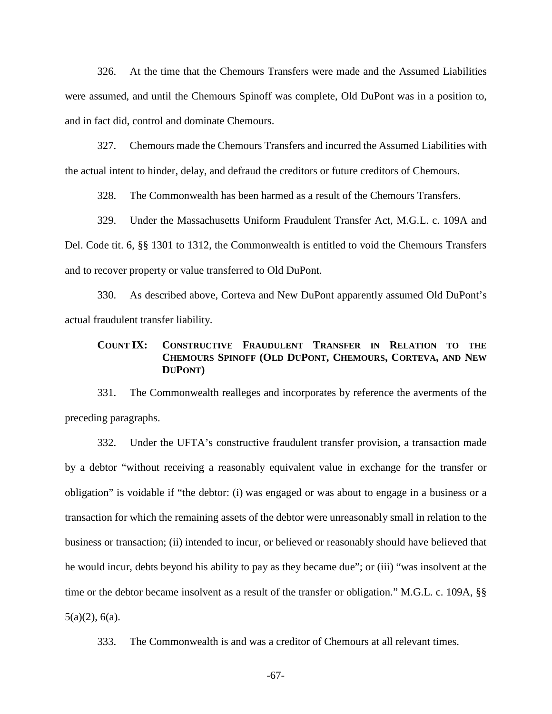326. At the time that the Chemours Transfers were made and the Assumed Liabilities were assumed, and until the Chemours Spinoff was complete, Old DuPont was in a position to, and in fact did, control and dominate Chemours.

327. Chemours made the Chemours Transfers and incurred the Assumed Liabilities with the actual intent to hinder, delay, and defraud the creditors or future creditors of Chemours.

328. The Commonwealth has been harmed as a result of the Chemours Transfers.

329. Under the Massachusetts Uniform Fraudulent Transfer Act, M.G.L. c. 109A and Del. Code tit. 6, §§ 1301 to 1312, the Commonwealth is entitled to void the Chemours Transfers and to recover property or value transferred to Old DuPont.

330. As described above, Corteva and New DuPont apparently assumed Old DuPont's actual fraudulent transfer liability.

## **COUNT IX: CONSTRUCTIVE FRAUDULENT TRANSFER IN RELATION TO THE CHEMOURS SPINOFF (OLD DUPONT, CHEMOURS, CORTEVA, AND NEW DUPONT)**

331. The Commonwealth realleges and incorporates by reference the averments of the preceding paragraphs.

332. Under the UFTA's constructive fraudulent transfer provision, a transaction made by a debtor "without receiving a reasonably equivalent value in exchange for the transfer or obligation" is voidable if "the debtor: (i) was engaged or was about to engage in a business or a transaction for which the remaining assets of the debtor were unreasonably small in relation to the business or transaction; (ii) intended to incur, or believed or reasonably should have believed that he would incur, debts beyond his ability to pay as they became due"; or (iii) "was insolvent at the time or the debtor became insolvent as a result of the transfer or obligation." M.G.L. c. 109A, §§ 5(a)(2), 6(a).

333. The Commonwealth is and was a creditor of Chemours at all relevant times.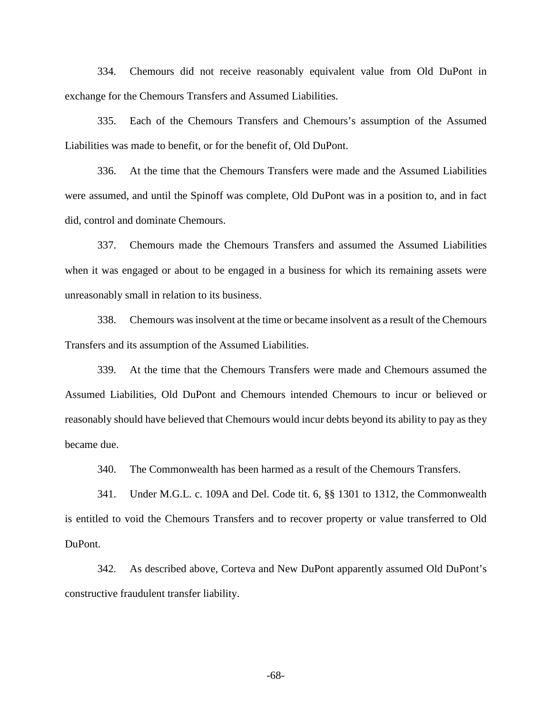334. Chemours did not receive reasonably equivalent value from Old DuPont in exchange for the Chemours Transfers and Assumed Liabilities.

335. Each of the Chemours Transfers and Chemours's assumption of the Assumed Liabilities was made to benefit, or for the benefit of, Old DuPont.

336. At the time that the Chemours Transfers were made and the Assumed Liabilities were assumed, and until the Spinoff was complete, Old DuPont was in a position to, and in fact did, control and dominate Chemours.

337. Chemours made the Chemours Transfers and assumed the Assumed Liabilities when it was engaged or about to be engaged in a business for which its remaining assets were unreasonably small in relation to its business.

338. Chemours was insolvent at the time or became insolvent as a result of the Chemours Transfers and its assumption of the Assumed Liabilities.

339. At the time that the Chemours Transfers were made and Chemours assumed the Assumed Liabilities, Old DuPont and Chemours intended Chemours to incur or believed or reasonably should have believed that Chemours would incur debts beyond its ability to pay as they became due.

340. The Commonwealth has been harmed as a result of the Chemours Transfers.

341. Under M.G.L. c. 109A and Del. Code tit. 6, §§ 1301 to 1312, the Commonwealth is entitled to void the Chemours Transfers and to recover property or value transferred to Old DuPont.

342. As described above, Corteva and New DuPont apparently assumed Old DuPont's constructive fraudulent transfer liability.

-68-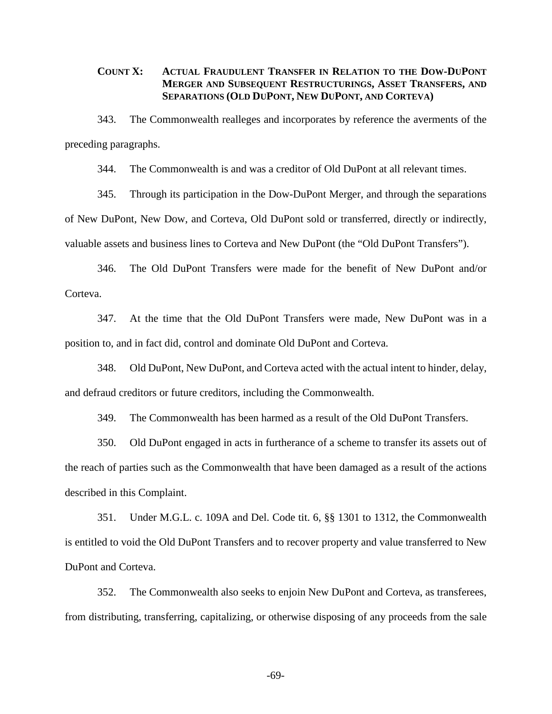## **COUNT X: ACTUAL FRAUDULENT TRANSFER IN RELATION TO THE DOW-DUPONT MERGER AND SUBSEQUENT RESTRUCTURINGS, ASSET TRANSFERS, AND SEPARATIONS (OLD DUPONT, NEW DUPONT, AND CORTEVA)**

343. The Commonwealth realleges and incorporates by reference the averments of the preceding paragraphs.

344. The Commonwealth is and was a creditor of Old DuPont at all relevant times.

345. Through its participation in the Dow-DuPont Merger, and through the separations of New DuPont, New Dow, and Corteva, Old DuPont sold or transferred, directly or indirectly, valuable assets and business lines to Corteva and New DuPont (the "Old DuPont Transfers").

346. The Old DuPont Transfers were made for the benefit of New DuPont and/or Corteva.

347. At the time that the Old DuPont Transfers were made, New DuPont was in a position to, and in fact did, control and dominate Old DuPont and Corteva.

348. Old DuPont, New DuPont, and Corteva acted with the actual intent to hinder, delay, and defraud creditors or future creditors, including the Commonwealth.

349. The Commonwealth has been harmed as a result of the Old DuPont Transfers.

350. Old DuPont engaged in acts in furtherance of a scheme to transfer its assets out of the reach of parties such as the Commonwealth that have been damaged as a result of the actions described in this Complaint.

351. Under M.G.L. c. 109A and Del. Code tit. 6, §§ 1301 to 1312, the Commonwealth is entitled to void the Old DuPont Transfers and to recover property and value transferred to New DuPont and Corteva.

352. The Commonwealth also seeks to enjoin New DuPont and Corteva, as transferees, from distributing, transferring, capitalizing, or otherwise disposing of any proceeds from the sale

-69-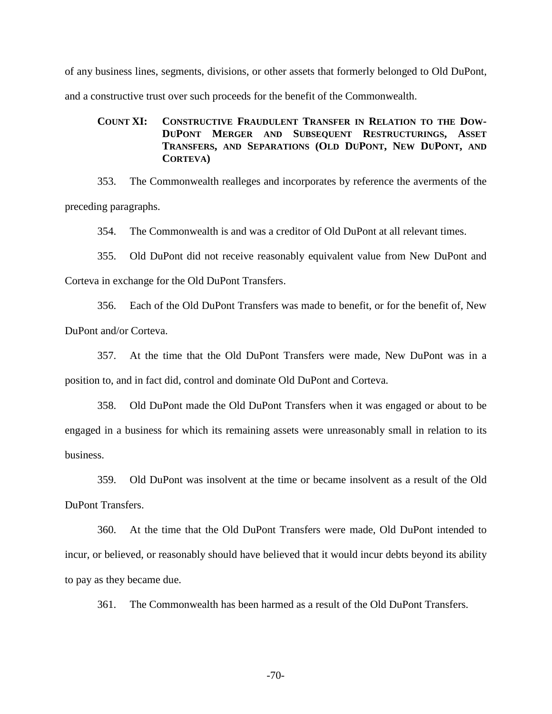of any business lines, segments, divisions, or other assets that formerly belonged to Old DuPont, and a constructive trust over such proceeds for the benefit of the Commonwealth.

# **COUNT XI: CONSTRUCTIVE FRAUDULENT TRANSFER IN RELATION TO THE DOW-DUPONT MERGER AND SUBSEQUENT RESTRUCTURINGS, ASSET TRANSFERS, AND SEPARATIONS (OLD DUPONT, NEW DUPONT, AND CORTEVA)**

353. The Commonwealth realleges and incorporates by reference the averments of the preceding paragraphs.

354. The Commonwealth is and was a creditor of Old DuPont at all relevant times.

355. Old DuPont did not receive reasonably equivalent value from New DuPont and Corteva in exchange for the Old DuPont Transfers.

356. Each of the Old DuPont Transfers was made to benefit, or for the benefit of, New DuPont and/or Corteva.

357. At the time that the Old DuPont Transfers were made, New DuPont was in a position to, and in fact did, control and dominate Old DuPont and Corteva.

358. Old DuPont made the Old DuPont Transfers when it was engaged or about to be engaged in a business for which its remaining assets were unreasonably small in relation to its business.

359. Old DuPont was insolvent at the time or became insolvent as a result of the Old DuPont Transfers.

360. At the time that the Old DuPont Transfers were made, Old DuPont intended to incur, or believed, or reasonably should have believed that it would incur debts beyond its ability to pay as they became due.

361. The Commonwealth has been harmed as a result of the Old DuPont Transfers.

-70-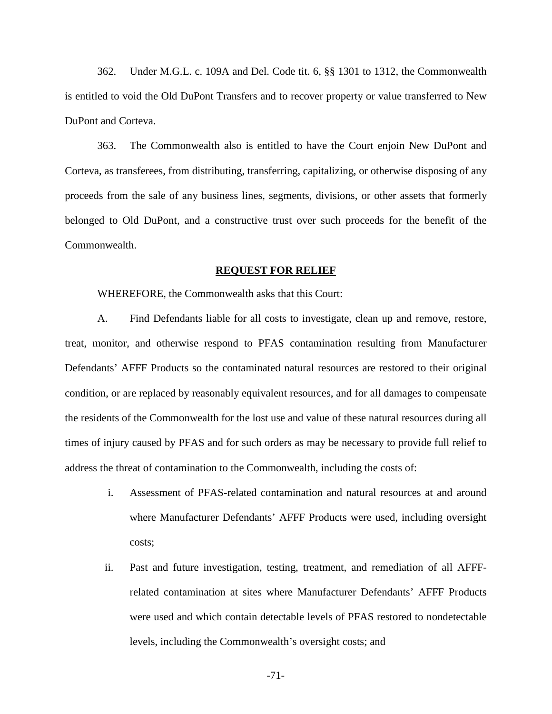362. Under M.G.L. c. 109A and Del. Code tit. 6, §§ 1301 to 1312, the Commonwealth is entitled to void the Old DuPont Transfers and to recover property or value transferred to New DuPont and Corteva.

363. The Commonwealth also is entitled to have the Court enjoin New DuPont and Corteva, as transferees, from distributing, transferring, capitalizing, or otherwise disposing of any proceeds from the sale of any business lines, segments, divisions, or other assets that formerly belonged to Old DuPont, and a constructive trust over such proceeds for the benefit of the Commonwealth.

#### **REQUEST FOR RELIEF**

WHEREFORE, the Commonwealth asks that this Court:

A. Find Defendants liable for all costs to investigate, clean up and remove, restore, treat, monitor, and otherwise respond to PFAS contamination resulting from Manufacturer Defendants' AFFF Products so the contaminated natural resources are restored to their original condition, or are replaced by reasonably equivalent resources, and for all damages to compensate the residents of the Commonwealth for the lost use and value of these natural resources during all times of injury caused by PFAS and for such orders as may be necessary to provide full relief to address the threat of contamination to the Commonwealth, including the costs of:

- i. Assessment of PFAS-related contamination and natural resources at and around where Manufacturer Defendants' AFFF Products were used, including oversight costs;
- ii. Past and future investigation, testing, treatment, and remediation of all AFFFrelated contamination at sites where Manufacturer Defendants' AFFF Products were used and which contain detectable levels of PFAS restored to nondetectable levels, including the Commonwealth's oversight costs; and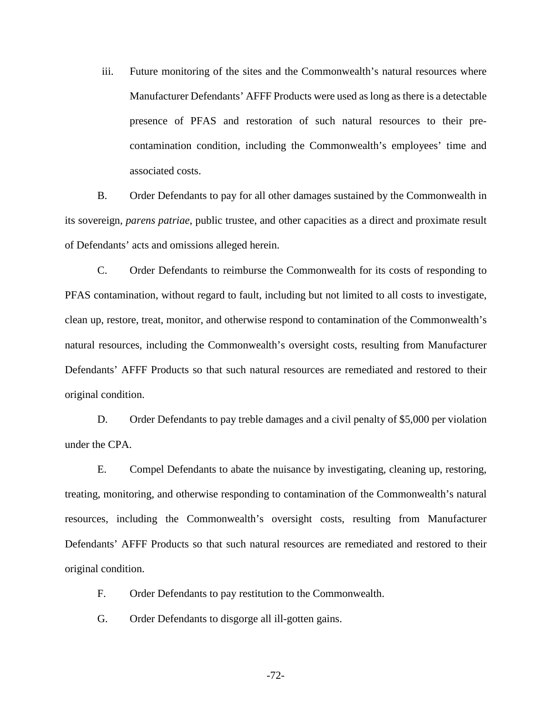iii. Future monitoring of the sites and the Commonwealth's natural resources where Manufacturer Defendants' AFFF Products were used as long as there is a detectable presence of PFAS and restoration of such natural resources to their precontamination condition, including the Commonwealth's employees' time and associated costs.

B. Order Defendants to pay for all other damages sustained by the Commonwealth in its sovereign, *parens patriae*, public trustee, and other capacities as a direct and proximate result of Defendants' acts and omissions alleged herein.

C. Order Defendants to reimburse the Commonwealth for its costs of responding to PFAS contamination, without regard to fault, including but not limited to all costs to investigate, clean up, restore, treat, monitor, and otherwise respond to contamination of the Commonwealth's natural resources, including the Commonwealth's oversight costs, resulting from Manufacturer Defendants' AFFF Products so that such natural resources are remediated and restored to their original condition.

D. Order Defendants to pay treble damages and a civil penalty of \$5,000 per violation under the CPA.

E. Compel Defendants to abate the nuisance by investigating, cleaning up, restoring, treating, monitoring, and otherwise responding to contamination of the Commonwealth's natural resources, including the Commonwealth's oversight costs, resulting from Manufacturer Defendants' AFFF Products so that such natural resources are remediated and restored to their original condition.

F. Order Defendants to pay restitution to the Commonwealth.

G. Order Defendants to disgorge all ill-gotten gains.

-72-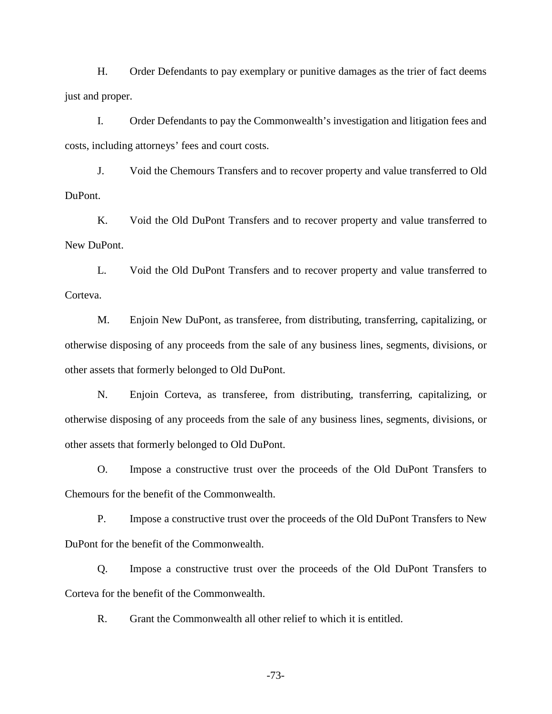H. Order Defendants to pay exemplary or punitive damages as the trier of fact deems just and proper.

I. Order Defendants to pay the Commonwealth's investigation and litigation fees and costs, including attorneys' fees and court costs.

J. Void the Chemours Transfers and to recover property and value transferred to Old DuPont.

K. Void the Old DuPont Transfers and to recover property and value transferred to New DuPont.

L. Void the Old DuPont Transfers and to recover property and value transferred to Corteva.

M. Enjoin New DuPont, as transferee, from distributing, transferring, capitalizing, or otherwise disposing of any proceeds from the sale of any business lines, segments, divisions, or other assets that formerly belonged to Old DuPont.

N. Enjoin Corteva, as transferee, from distributing, transferring, capitalizing, or otherwise disposing of any proceeds from the sale of any business lines, segments, divisions, or other assets that formerly belonged to Old DuPont.

O. Impose a constructive trust over the proceeds of the Old DuPont Transfers to Chemours for the benefit of the Commonwealth.

P. Impose a constructive trust over the proceeds of the Old DuPont Transfers to New DuPont for the benefit of the Commonwealth.

Q. Impose a constructive trust over the proceeds of the Old DuPont Transfers to Corteva for the benefit of the Commonwealth.

R. Grant the Commonwealth all other relief to which it is entitled.

-73-